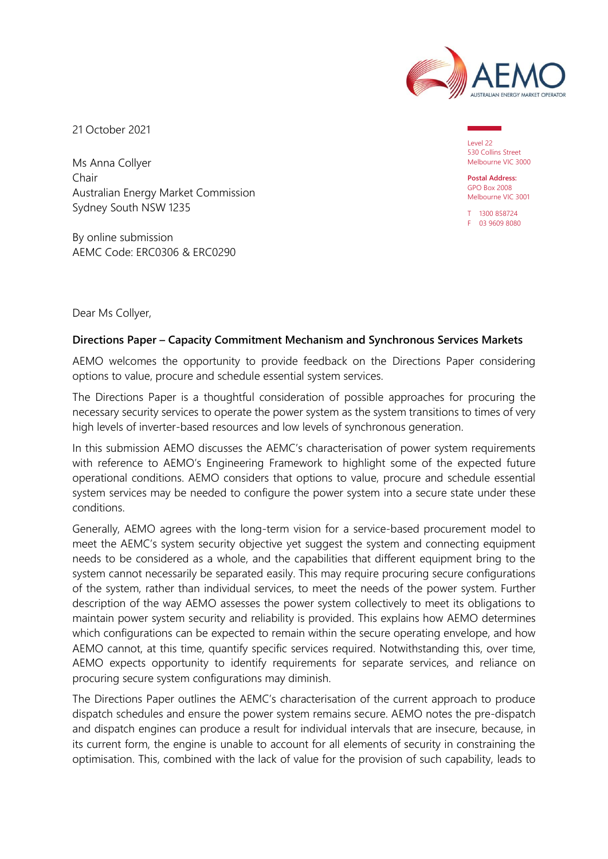

21 October 2021

Ms Anna Collyer Chair Australian Energy Market Commission Sydney South NSW 1235

By online submission AEMC Code: ERC0306 & ERC0290

Level 22 530 Collins Street Melbourne VIC 3000

**Postal Address:** GPO Box 2008 Melbourne VIC 3001

T 1300 858724 F 03 9609 8080

Dear Ms Collyer,

#### **Directions Paper – Capacity Commitment Mechanism and Synchronous Services Markets**

AEMO welcomes the opportunity to provide feedback on the Directions Paper considering options to value, procure and schedule essential system services.

The Directions Paper is a thoughtful consideration of possible approaches for procuring the necessary security services to operate the power system as the system transitions to times of very high levels of inverter-based resources and low levels of synchronous generation.

In this submission AEMO discusses the AEMC's characterisation of power system requirements with reference to AEMO's Engineering Framework to highlight some of the expected future operational conditions. AEMO considers that options to value, procure and schedule essential system services may be needed to configure the power system into a secure state under these conditions.

Generally, AEMO agrees with the long-term vision for a service-based procurement model to meet the AEMC's system security objective yet suggest the system and connecting equipment needs to be considered as a whole, and the capabilities that different equipment bring to the system cannot necessarily be separated easily. This may require procuring secure configurations of the system, rather than individual services, to meet the needs of the power system. Further description of the way AEMO assesses the power system collectively to meet its obligations to maintain power system security and reliability is provided. This explains how AEMO determines which configurations can be expected to remain within the secure operating envelope, and how AEMO cannot, at this time, quantify specific services required. Notwithstanding this, over time, AEMO expects opportunity to identify requirements for separate services, and reliance on procuring secure system configurations may diminish.

The Directions Paper outlines the AEMC's characterisation of the current approach to produce dispatch schedules and ensure the power system remains secure. AEMO notes the pre-dispatch and dispatch engines can produce a result for individual intervals that are insecure, because, in its current form, the engine is unable to account for all elements of security in constraining the optimisation. This, combined with the lack of value for the provision of such capability, leads to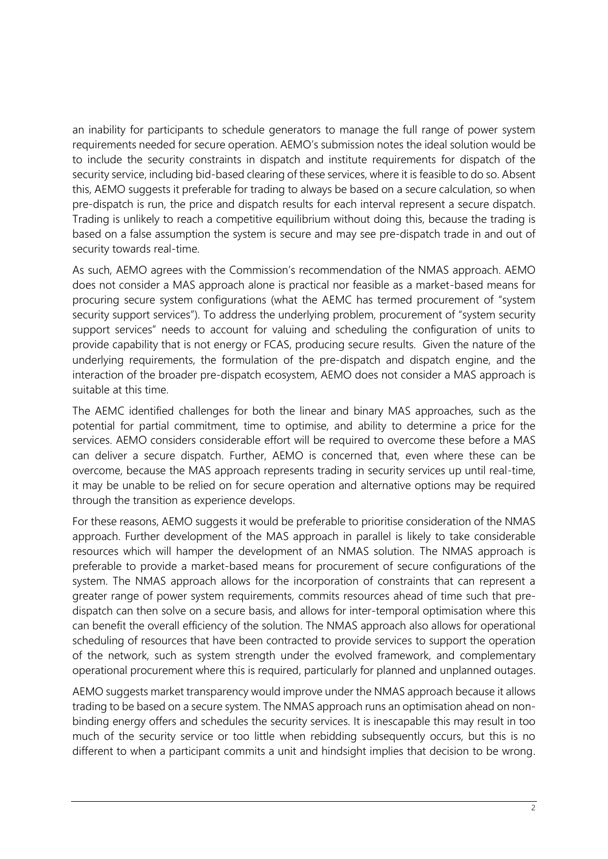an inability for participants to schedule generators to manage the full range of power system requirements needed for secure operation. AEMO's submission notes the ideal solution would be to include the security constraints in dispatch and institute requirements for dispatch of the security service, including bid-based clearing of these services, where it is feasible to do so. Absent this, AEMO suggests it preferable for trading to always be based on a secure calculation, so when pre-dispatch is run, the price and dispatch results for each interval represent a secure dispatch. Trading is unlikely to reach a competitive equilibrium without doing this, because the trading is based on a false assumption the system is secure and may see pre-dispatch trade in and out of security towards real-time.

As such, AEMO agrees with the Commission's recommendation of the NMAS approach. AEMO does not consider a MAS approach alone is practical nor feasible as a market-based means for procuring secure system configurations (what the AEMC has termed procurement of "system security support services"). To address the underlying problem, procurement of "system security support services" needs to account for valuing and scheduling the configuration of units to provide capability that is not energy or FCAS, producing secure results. Given the nature of the underlying requirements, the formulation of the pre-dispatch and dispatch engine, and the interaction of the broader pre-dispatch ecosystem, AEMO does not consider a MAS approach is suitable at this time.

The AEMC identified challenges for both the linear and binary MAS approaches, such as the potential for partial commitment, time to optimise, and ability to determine a price for the services. AEMO considers considerable effort will be required to overcome these before a MAS can deliver a secure dispatch. Further, AEMO is concerned that, even where these can be overcome, because the MAS approach represents trading in security services up until real-time, it may be unable to be relied on for secure operation and alternative options may be required through the transition as experience develops.

For these reasons, AEMO suggests it would be preferable to prioritise consideration of the NMAS approach. Further development of the MAS approach in parallel is likely to take considerable resources which will hamper the development of an NMAS solution. The NMAS approach is preferable to provide a market-based means for procurement of secure configurations of the system. The NMAS approach allows for the incorporation of constraints that can represent a greater range of power system requirements, commits resources ahead of time such that predispatch can then solve on a secure basis, and allows for inter-temporal optimisation where this can benefit the overall efficiency of the solution. The NMAS approach also allows for operational scheduling of resources that have been contracted to provide services to support the operation of the network, such as system strength under the evolved framework, and complementary operational procurement where this is required, particularly for planned and unplanned outages.

AEMO suggests market transparency would improve under the NMAS approach because it allows trading to be based on a secure system. The NMAS approach runs an optimisation ahead on nonbinding energy offers and schedules the security services. It is inescapable this may result in too much of the security service or too little when rebidding subsequently occurs, but this is no different to when a participant commits a unit and hindsight implies that decision to be wrong.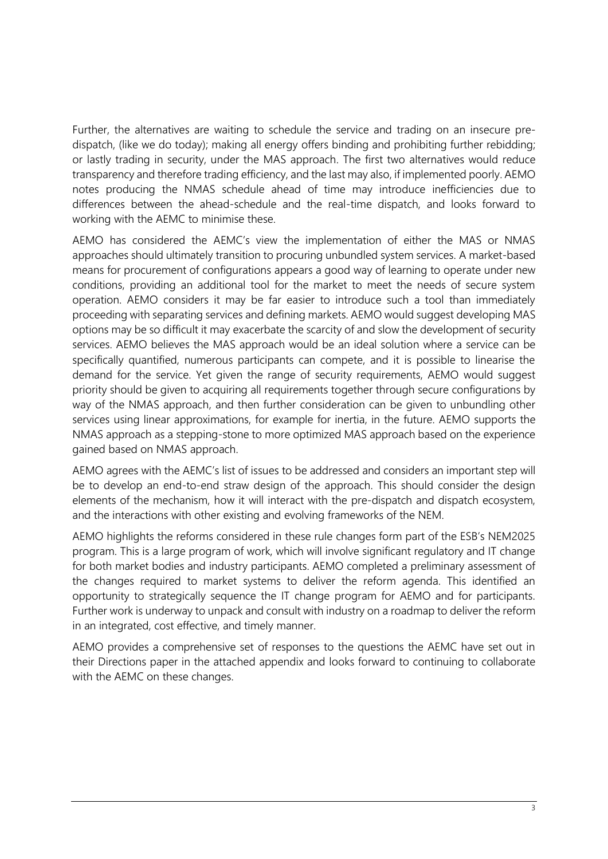Further, the alternatives are waiting to schedule the service and trading on an insecure predispatch, (like we do today); making all energy offers binding and prohibiting further rebidding; or lastly trading in security, under the MAS approach. The first two alternatives would reduce transparency and therefore trading efficiency, and the last may also, if implemented poorly. AEMO notes producing the NMAS schedule ahead of time may introduce inefficiencies due to differences between the ahead-schedule and the real-time dispatch, and looks forward to working with the AEMC to minimise these.

AEMO has considered the AEMC's view the implementation of either the MAS or NMAS approaches should ultimately transition to procuring unbundled system services. A market-based means for procurement of configurations appears a good way of learning to operate under new conditions, providing an additional tool for the market to meet the needs of secure system operation. AEMO considers it may be far easier to introduce such a tool than immediately proceeding with separating services and defining markets. AEMO would suggest developing MAS options may be so difficult it may exacerbate the scarcity of and slow the development of security services. AEMO believes the MAS approach would be an ideal solution where a service can be specifically quantified, numerous participants can compete, and it is possible to linearise the demand for the service. Yet given the range of security requirements, AEMO would suggest priority should be given to acquiring all requirements together through secure configurations by way of the NMAS approach, and then further consideration can be given to unbundling other services using linear approximations, for example for inertia, in the future. AEMO supports the NMAS approach as a stepping-stone to more optimized MAS approach based on the experience gained based on NMAS approach.

AEMO agrees with the AEMC's list of issues to be addressed and considers an important step will be to develop an end-to-end straw design of the approach. This should consider the design elements of the mechanism, how it will interact with the pre-dispatch and dispatch ecosystem, and the interactions with other existing and evolving frameworks of the NEM.

AEMO highlights the reforms considered in these rule changes form part of the ESB's NEM2025 program. This is a large program of work, which will involve significant regulatory and IT change for both market bodies and industry participants. AEMO completed a preliminary assessment of the changes required to market systems to deliver the reform agenda. This identified an opportunity to strategically sequence the IT change program for AEMO and for participants. Further work is underway to unpack and consult with industry on a roadmap to deliver the reform in an integrated, cost effective, and timely manner.

AEMO provides a comprehensive set of responses to the questions the AEMC have set out in their Directions paper in the attached appendix and looks forward to continuing to collaborate with the AEMC on these changes.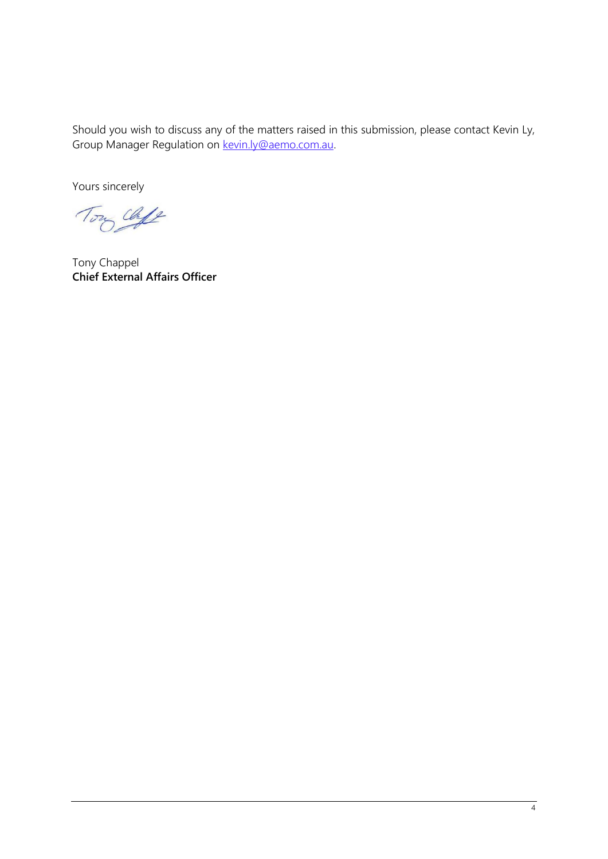Should you wish to discuss any of the matters raised in this submission, please contact Kevin Ly, Group Manager Regulation on [kevin.ly@aemo.com.au.](mailto:kevin.ly@aemo.com.au)

Yours sincerely

Tony Cloff

Tony Chappel **Chief External Affairs Officer**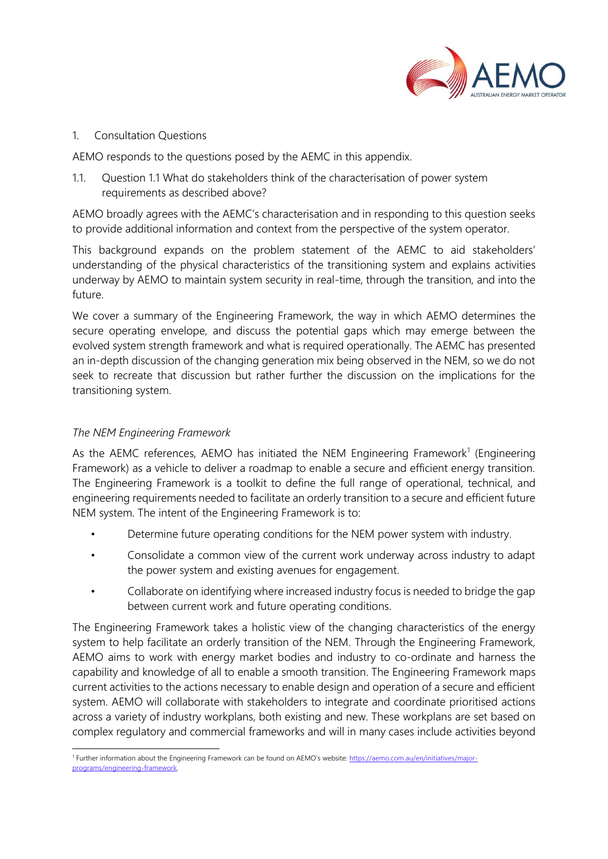

1. Consultation Questions

AEMO responds to the questions posed by the AEMC in this appendix.

1.1. Question 1.1 What do stakeholders think of the characterisation of power system requirements as described above?

AEMO broadly agrees with the AEMC's characterisation and in responding to this question seeks to provide additional information and context from the perspective of the system operator.

This background expands on the problem statement of the AEMC to aid stakeholders' understanding of the physical characteristics of the transitioning system and explains activities underway by AEMO to maintain system security in real-time, through the transition, and into the future.

We cover a summary of the Engineering Framework, the way in which AEMO determines the secure operating envelope, and discuss the potential gaps which may emerge between the evolved system strength framework and what is required operationally. The AEMC has presented an in-depth discussion of the changing generation mix being observed in the NEM, so we do not seek to recreate that discussion but rather further the discussion on the implications for the transitioning system.

### *The NEM Engineering Framework*

As the AEMC references, AEMO has initiated the NEM Engineering Framework<sup>1</sup> (Engineering Framework) as a vehicle to deliver a roadmap to enable a secure and efficient energy transition. The Engineering Framework is a toolkit to define the full range of operational, technical, and engineering requirements needed to facilitate an orderly transition to a secure and efficient future NEM system. The intent of the Engineering Framework is to:

- Determine future operating conditions for the NEM power system with industry.
- Consolidate a common view of the current work underway across industry to adapt the power system and existing avenues for engagement.
- Collaborate on identifying where increased industry focus is needed to bridge the gap between current work and future operating conditions.

The Engineering Framework takes a holistic view of the changing characteristics of the energy system to help facilitate an orderly transition of the NEM. Through the Engineering Framework, AEMO aims to work with energy market bodies and industry to co-ordinate and harness the capability and knowledge of all to enable a smooth transition. The Engineering Framework maps current activities to the actions necessary to enable design and operation of a secure and efficient system. AEMO will collaborate with stakeholders to integrate and coordinate prioritised actions across a variety of industry workplans, both existing and new. These workplans are set based on complex regulatory and commercial frameworks and will in many cases include activities beyond

<sup>&</sup>lt;sup>1</sup> Further information about the Engineering Framework can be found on AEMO's website: [https://aemo.com.au/en/initiatives/major](https://aemo.com.au/en/initiatives/major-programs/engineering-framework)[programs/engineering-framework.](https://aemo.com.au/en/initiatives/major-programs/engineering-framework)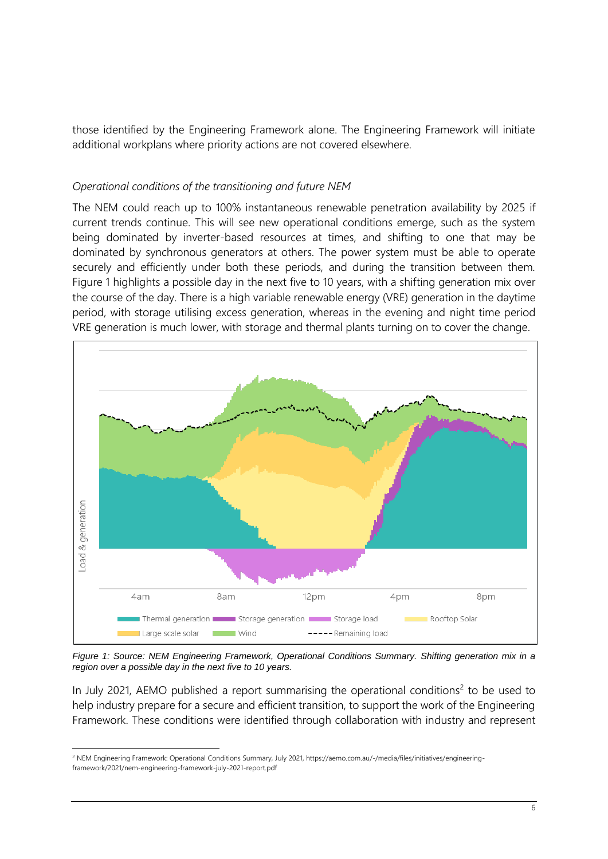those identified by the Engineering Framework alone. The Engineering Framework will initiate additional workplans where priority actions are not covered elsewhere.

#### *Operational conditions of the transitioning and future NEM*

The NEM could reach up to 100% instantaneous renewable penetration availability by 2025 if current trends continue. This will see new operational conditions emerge, such as the system being dominated by inverter-based resources at times, and shifting to one that may be dominated by synchronous generators at others. The power system must be able to operate securely and efficiently under both these periods, and during the transition between them. Figure 1 highlights a possible day in the next five to 10 years, with a shifting generation mix over the course of the day. There is a high variable renewable energy (VRE) generation in the daytime period, with storage utilising excess generation, whereas in the evening and night time period VRE generation is much lower, with storage and thermal plants turning on to cover the change.



*Figure 1: Source: NEM Engineering Framework, Operational Conditions Summary. Shifting generation mix in a region over a possible day in the next five to 10 years.*

In July 2021, AEMO published a report summarising the operational conditions<sup>2</sup> to be used to help industry prepare for a secure and efficient transition, to support the work of the Engineering Framework. These conditions were identified through collaboration with industry and represent

<sup>&</sup>lt;sup>2</sup> NEM Engineering Framework: Operational Conditions Summary, July 2021, https://aemo.com.au/-/media/files/initiatives/engineeringframework/2021/nem-engineering-framework-july-2021-report.pdf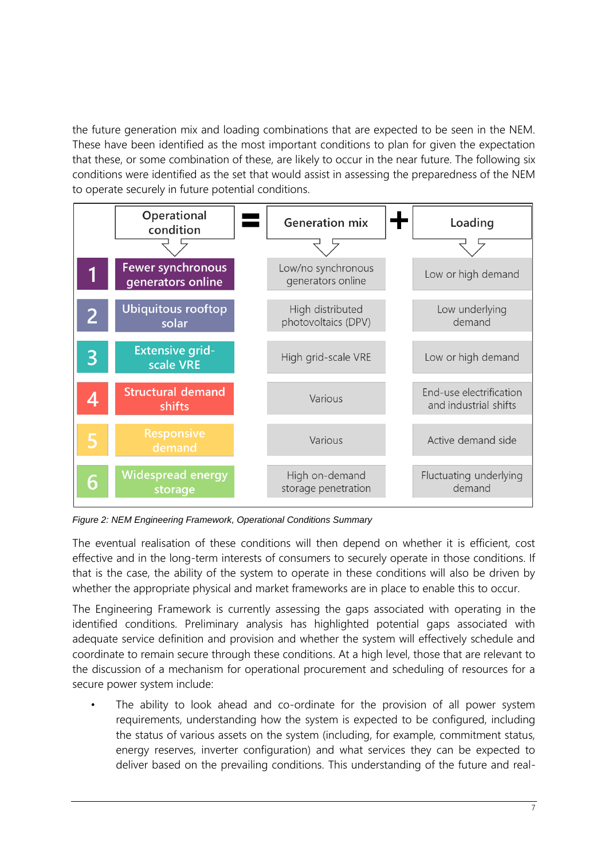the future generation mix and loading combinations that are expected to be seen in the NEM. These have been identified as the most important conditions to plan for given the expectation that these, or some combination of these, are likely to occur in the near future. The following six conditions were identified as the set that would assist in assessing the preparedness of the NEM to operate securely in future potential conditions.



*Figure 2: NEM Engineering Framework, Operational Conditions Summary*

The eventual realisation of these conditions will then depend on whether it is efficient, cost effective and in the long-term interests of consumers to securely operate in those conditions. If that is the case, the ability of the system to operate in these conditions will also be driven by whether the appropriate physical and market frameworks are in place to enable this to occur.

The Engineering Framework is currently assessing the gaps associated with operating in the identified conditions. Preliminary analysis has highlighted potential gaps associated with adequate service definition and provision and whether the system will effectively schedule and coordinate to remain secure through these conditions. At a high level, those that are relevant to the discussion of a mechanism for operational procurement and scheduling of resources for a secure power system include:

The ability to look ahead and co-ordinate for the provision of all power system requirements, understanding how the system is expected to be configured, including the status of various assets on the system (including, for example, commitment status, energy reserves, inverter configuration) and what services they can be expected to deliver based on the prevailing conditions. This understanding of the future and real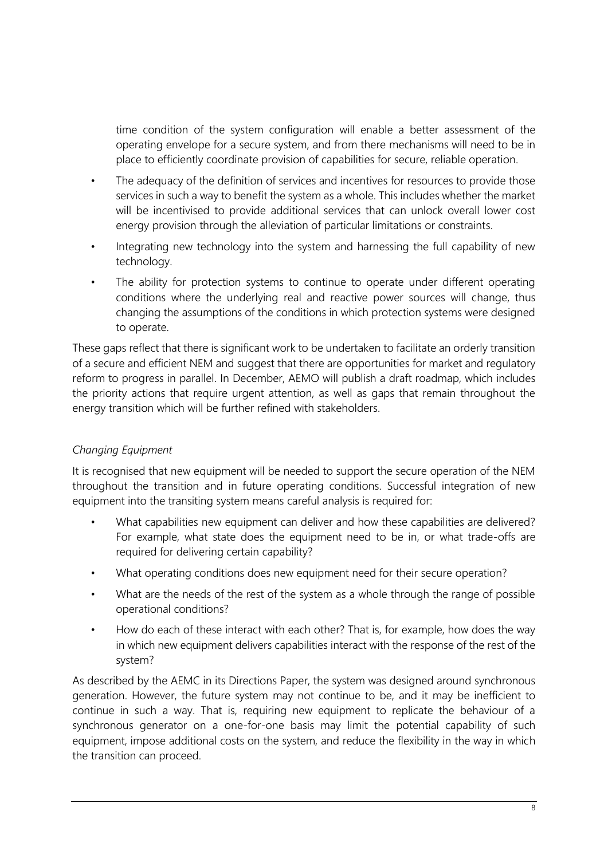time condition of the system configuration will enable a better assessment of the operating envelope for a secure system, and from there mechanisms will need to be in place to efficiently coordinate provision of capabilities for secure, reliable operation.

- The adequacy of the definition of services and incentives for resources to provide those services in such a way to benefit the system as a whole. This includes whether the market will be incentivised to provide additional services that can unlock overall lower cost energy provision through the alleviation of particular limitations or constraints.
- Integrating new technology into the system and harnessing the full capability of new technology.
- The ability for protection systems to continue to operate under different operating conditions where the underlying real and reactive power sources will change, thus changing the assumptions of the conditions in which protection systems were designed to operate.

These gaps reflect that there is significant work to be undertaken to facilitate an orderly transition of a secure and efficient NEM and suggest that there are opportunities for market and regulatory reform to progress in parallel. In December, AEMO will publish a draft roadmap, which includes the priority actions that require urgent attention, as well as gaps that remain throughout the energy transition which will be further refined with stakeholders.

# *Changing Equipment*

It is recognised that new equipment will be needed to support the secure operation of the NEM throughout the transition and in future operating conditions. Successful integration of new equipment into the transiting system means careful analysis is required for:

- What capabilities new equipment can deliver and how these capabilities are delivered? For example, what state does the equipment need to be in, or what trade-offs are required for delivering certain capability?
- What operating conditions does new equipment need for their secure operation?
- What are the needs of the rest of the system as a whole through the range of possible operational conditions?
- How do each of these interact with each other? That is, for example, how does the way in which new equipment delivers capabilities interact with the response of the rest of the system?

As described by the AEMC in its Directions Paper, the system was designed around synchronous generation. However, the future system may not continue to be, and it may be inefficient to continue in such a way. That is, requiring new equipment to replicate the behaviour of a synchronous generator on a one-for-one basis may limit the potential capability of such equipment, impose additional costs on the system, and reduce the flexibility in the way in which the transition can proceed.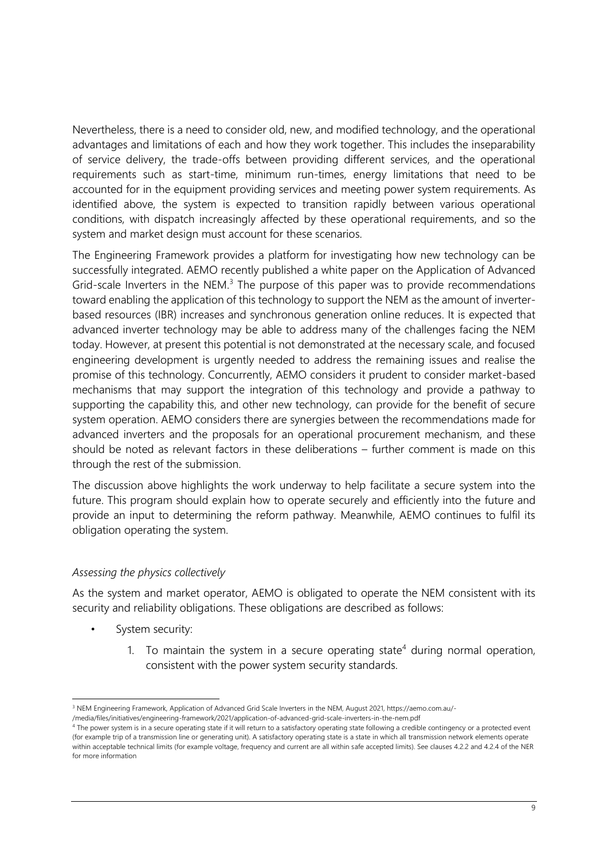Nevertheless, there is a need to consider old, new, and modified technology, and the operational advantages and limitations of each and how they work together. This includes the inseparability of service delivery, the trade-offs between providing different services, and the operational requirements such as start-time, minimum run-times, energy limitations that need to be accounted for in the equipment providing services and meeting power system requirements. As identified above, the system is expected to transition rapidly between various operational conditions, with dispatch increasingly affected by these operational requirements, and so the system and market design must account for these scenarios.

The Engineering Framework provides a platform for investigating how new technology can be successfully integrated. AEMO recently published a white paper on the Application of Advanced Grid-scale Inverters in the NEM. $<sup>3</sup>$  The purpose of this paper was to provide recommendations</sup> toward enabling the application of this technology to support the NEM as the amount of inverterbased resources (IBR) increases and synchronous generation online reduces. It is expected that advanced inverter technology may be able to address many of the challenges facing the NEM today. However, at present this potential is not demonstrated at the necessary scale, and focused engineering development is urgently needed to address the remaining issues and realise the promise of this technology. Concurrently, AEMO considers it prudent to consider market-based mechanisms that may support the integration of this technology and provide a pathway to supporting the capability this, and other new technology, can provide for the benefit of secure system operation. AEMO considers there are synergies between the recommendations made for advanced inverters and the proposals for an operational procurement mechanism, and these should be noted as relevant factors in these deliberations – further comment is made on this through the rest of the submission.

The discussion above highlights the work underway to help facilitate a secure system into the future. This program should explain how to operate securely and efficiently into the future and provide an input to determining the reform pathway. Meanwhile, AEMO continues to fulfil its obligation operating the system.

### *Assessing the physics collectively*

As the system and market operator, AEMO is obligated to operate the NEM consistent with its security and reliability obligations. These obligations are described as follows:

- System security:
	- 1. To maintain the system in a secure operating state<sup>4</sup> during normal operation, consistent with the power system security standards.

<sup>3</sup> NEM Engineering Framework, Application of Advanced Grid Scale Inverters in the NEM, August 2021, https://aemo.com.au/-

<sup>/</sup>media/files/initiatives/engineering-framework/2021/application-of-advanced-grid-scale-inverters-in-the-nem.pdf

<sup>4</sup> The power system is in a secure operating state if it will return to a satisfactory operating state following a credible contingency or a protected event (for example trip of a transmission line or generating unit). A satisfactory operating state is a state in which all transmission network elements operate within acceptable technical limits (for example voltage, frequency and current are all within safe accepted limits). See clauses 4.2.2 and 4.2.4 of the NER for more information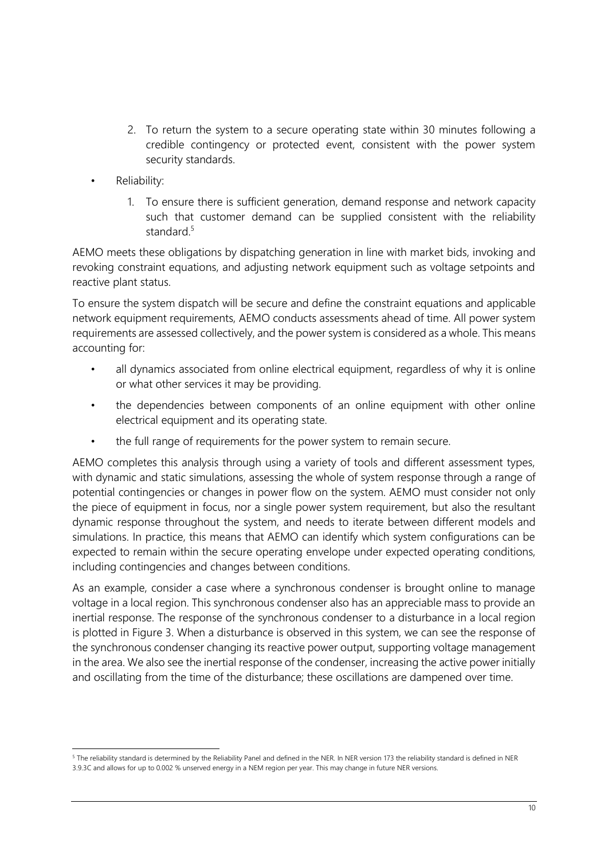- 2. To return the system to a secure operating state within 30 minutes following a credible contingency or protected event, consistent with the power system security standards.
- Reliability:
	- 1. To ensure there is sufficient generation, demand response and network capacity such that customer demand can be supplied consistent with the reliability standard. 5

AEMO meets these obligations by dispatching generation in line with market bids, invoking and revoking constraint equations, and adjusting network equipment such as voltage setpoints and reactive plant status.

To ensure the system dispatch will be secure and define the constraint equations and applicable network equipment requirements, AEMO conducts assessments ahead of time. All power system requirements are assessed collectively, and the power system is considered as a whole. This means accounting for:

- all dynamics associated from online electrical equipment, regardless of why it is online or what other services it may be providing.
- the dependencies between components of an online equipment with other online electrical equipment and its operating state.
- the full range of requirements for the power system to remain secure.

AEMO completes this analysis through using a variety of tools and different assessment types, with dynamic and static simulations, assessing the whole of system response through a range of potential contingencies or changes in power flow on the system. AEMO must consider not only the piece of equipment in focus, nor a single power system requirement, but also the resultant dynamic response throughout the system, and needs to iterate between different models and simulations. In practice, this means that AEMO can identify which system configurations can be expected to remain within the secure operating envelope under expected operating conditions, including contingencies and changes between conditions.

As an example, consider a case where a synchronous condenser is brought online to manage voltage in a local region. This synchronous condenser also has an appreciable mass to provide an inertial response. The response of the synchronous condenser to a disturbance in a local region is plotted in Figure 3. When a disturbance is observed in this system, we can see the response of the synchronous condenser changing its reactive power output, supporting voltage management in the area. We also see the inertial response of the condenser, increasing the active power initially and oscillating from the time of the disturbance; these oscillations are dampened over time.

<sup>5</sup> The reliability standard is determined by the Reliability Panel and defined in the NER. In NER version 173 the reliability standard is defined in NER 3.9.3C and allows for up to 0.002 % unserved energy in a NEM region per year. This may change in future NER versions.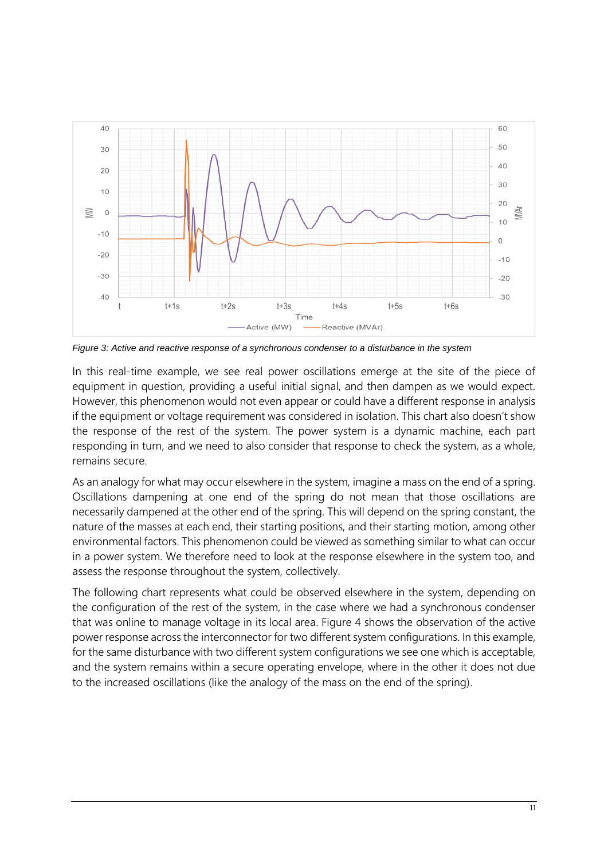

*Figure 3: Active and reactive response of a synchronous condenser to a disturbance in the system*

In this real-time example, we see real power oscillations emerge at the site of the piece of equipment in question, providing a useful initial signal, and then dampen as we would expect. However, this phenomenon would not even appear or could have a different response in analysis if the equipment or voltage requirement was considered in isolation. This chart also doesn't show the response of the rest of the system. The power system is a dynamic machine, each part responding in turn, and we need to also consider that response to check the system, as a whole, remains secure.

As an analogy for what may occur elsewhere in the system, imagine a mass on the end of a spring. Oscillations dampening at one end of the spring do not mean that those oscillations are necessarily dampened at the other end of the spring. This will depend on the spring constant, the nature of the masses at each end, their starting positions, and their starting motion, among other environmental factors. This phenomenon could be viewed as something similar to what can occur in a power system. We therefore need to look at the response elsewhere in the system too, and assess the response throughout the system, collectively.

The following chart represents what could be observed elsewhere in the system, depending on the configuration of the rest of the system, in the case where we had a synchronous condenser that was online to manage voltage in its local area. Figure 4 shows the observation of the active power response across the interconnector for two different system configurations. In this example, for the same disturbance with two different system configurations we see one which is acceptable, and the system remains within a secure operating envelope, where in the other it does not due to the increased oscillations (like the analogy of the mass on the end of the spring).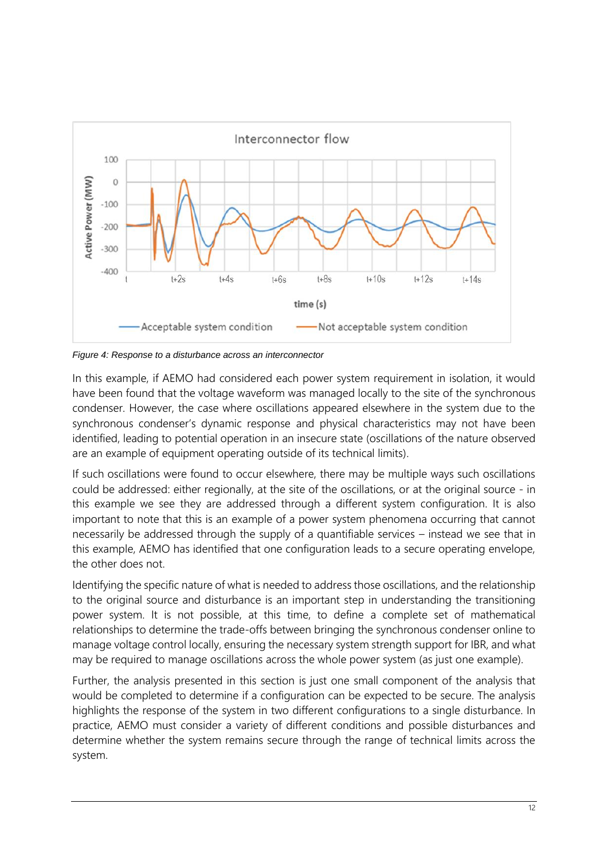

*Figure 4: Response to a disturbance across an interconnector*

In this example, if AEMO had considered each power system requirement in isolation, it would have been found that the voltage waveform was managed locally to the site of the synchronous condenser. However, the case where oscillations appeared elsewhere in the system due to the synchronous condenser's dynamic response and physical characteristics may not have been identified, leading to potential operation in an insecure state (oscillations of the nature observed are an example of equipment operating outside of its technical limits).

If such oscillations were found to occur elsewhere, there may be multiple ways such oscillations could be addressed: either regionally, at the site of the oscillations, or at the original source - in this example we see they are addressed through a different system configuration. It is also important to note that this is an example of a power system phenomena occurring that cannot necessarily be addressed through the supply of a quantifiable services – instead we see that in this example, AEMO has identified that one configuration leads to a secure operating envelope, the other does not.

Identifying the specific nature of what is needed to address those oscillations, and the relationship to the original source and disturbance is an important step in understanding the transitioning power system. It is not possible, at this time, to define a complete set of mathematical relationships to determine the trade-offs between bringing the synchronous condenser online to manage voltage control locally, ensuring the necessary system strength support for IBR, and what may be required to manage oscillations across the whole power system (as just one example).

Further, the analysis presented in this section is just one small component of the analysis that would be completed to determine if a configuration can be expected to be secure. The analysis highlights the response of the system in two different configurations to a single disturbance. In practice, AEMO must consider a variety of different conditions and possible disturbances and determine whether the system remains secure through the range of technical limits across the system.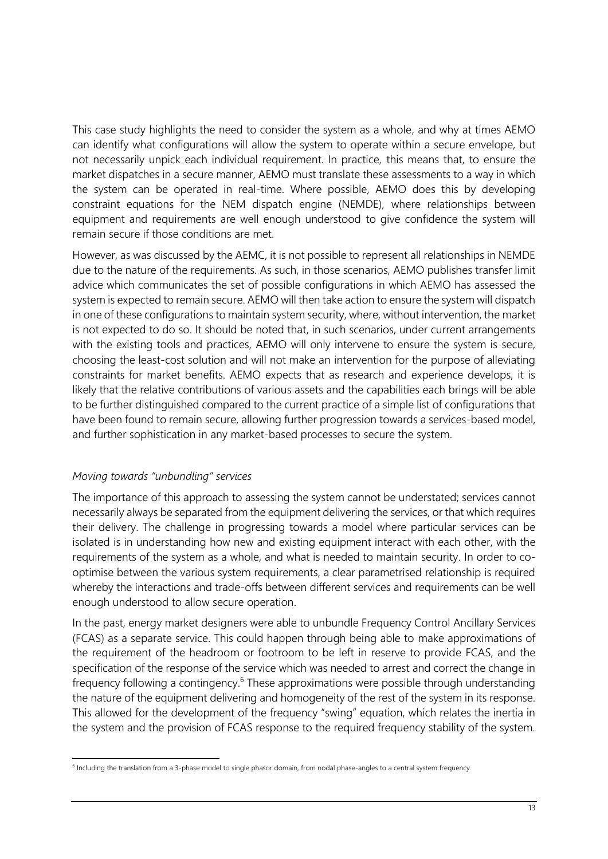This case study highlights the need to consider the system as a whole, and why at times AEMO can identify what configurations will allow the system to operate within a secure envelope, but not necessarily unpick each individual requirement. In practice, this means that, to ensure the market dispatches in a secure manner, AEMO must translate these assessments to a way in which the system can be operated in real-time. Where possible, AEMO does this by developing constraint equations for the NEM dispatch engine (NEMDE), where relationships between equipment and requirements are well enough understood to give confidence the system will remain secure if those conditions are met.

However, as was discussed by the AEMC, it is not possible to represent all relationships in NEMDE due to the nature of the requirements. As such, in those scenarios, AEMO publishes transfer limit advice which communicates the set of possible configurations in which AEMO has assessed the system is expected to remain secure. AEMO will then take action to ensure the system will dispatch in one of these configurations to maintain system security, where, without intervention, the market is not expected to do so. It should be noted that, in such scenarios, under current arrangements with the existing tools and practices, AEMO will only intervene to ensure the system is secure, choosing the least-cost solution and will not make an intervention for the purpose of alleviating constraints for market benefits. AEMO expects that as research and experience develops, it is likely that the relative contributions of various assets and the capabilities each brings will be able to be further distinguished compared to the current practice of a simple list of configurations that have been found to remain secure, allowing further progression towards a services-based model, and further sophistication in any market-based processes to secure the system.

# *Moving towards "unbundling" services*

The importance of this approach to assessing the system cannot be understated; services cannot necessarily always be separated from the equipment delivering the services, or that which requires their delivery. The challenge in progressing towards a model where particular services can be isolated is in understanding how new and existing equipment interact with each other, with the requirements of the system as a whole, and what is needed to maintain security. In order to cooptimise between the various system requirements, a clear parametrised relationship is required whereby the interactions and trade-offs between different services and requirements can be well enough understood to allow secure operation.

In the past, energy market designers were able to unbundle Frequency Control Ancillary Services (FCAS) as a separate service. This could happen through being able to make approximations of the requirement of the headroom or footroom to be left in reserve to provide FCAS, and the specification of the response of the service which was needed to arrest and correct the change in frequency following a contingency.<sup>6</sup> These approximations were possible through understanding the nature of the equipment delivering and homogeneity of the rest of the system in its response. This allowed for the development of the frequency "swing" equation, which relates the inertia in the system and the provision of FCAS response to the required frequency stability of the system.

<sup>&</sup>lt;sup>6</sup> Including the translation from a 3-phase model to single phasor domain, from nodal phase-angles to a central system frequency.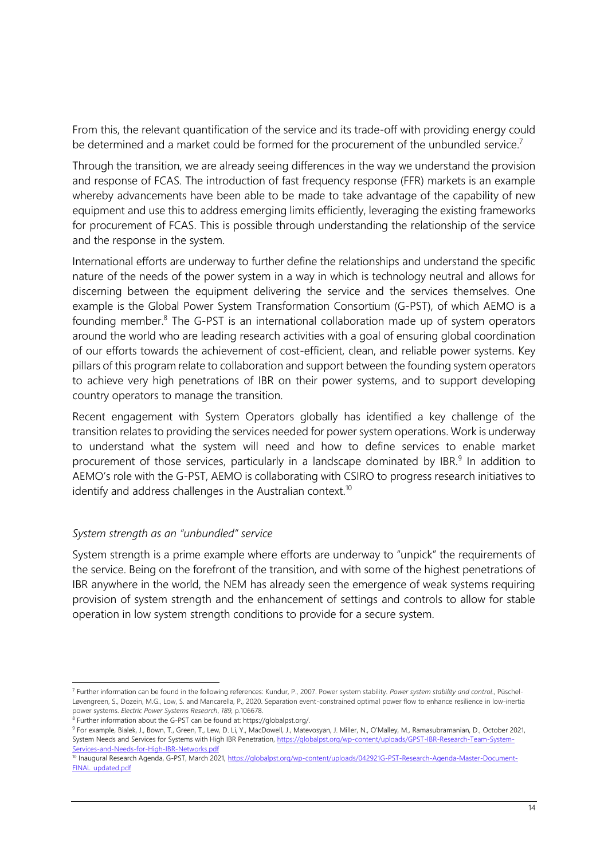From this, the relevant quantification of the service and its trade-off with providing energy could be determined and a market could be formed for the procurement of the unbundled service.<sup>7</sup>

Through the transition, we are already seeing differences in the way we understand the provision and response of FCAS. The introduction of fast frequency response (FFR) markets is an example whereby advancements have been able to be made to take advantage of the capability of new equipment and use this to address emerging limits efficiently, leveraging the existing frameworks for procurement of FCAS. This is possible through understanding the relationship of the service and the response in the system.

International efforts are underway to further define the relationships and understand the specific nature of the needs of the power system in a way in which is technology neutral and allows for discerning between the equipment delivering the service and the services themselves. One example is the Global Power System Transformation Consortium (G-PST), of which AEMO is a founding member.<sup>8</sup> The G-PST is an international collaboration made up of system operators around the world who are leading research activities with a goal of ensuring global coordination of our efforts towards the achievement of cost-efficient, clean, and reliable power systems. Key pillars of this program relate to collaboration and support between the founding system operators to achieve very high penetrations of IBR on their power systems, and to support developing country operators to manage the transition.

Recent engagement with System Operators globally has identified a key challenge of the transition relates to providing the services needed for power system operations. Work is underway to understand what the system will need and how to define services to enable market procurement of those services, particularly in a landscape dominated by IBR. $9$  In addition to AEMO's role with the G-PST, AEMO is collaborating with CSIRO to progress research initiatives to identify and address challenges in the Australian context.<sup>10</sup>

### *System strength as an "unbundled" service*

System strength is a prime example where efforts are underway to "unpick" the requirements of the service. Being on the forefront of the transition, and with some of the highest penetrations of IBR anywhere in the world, the NEM has already seen the emergence of weak systems requiring provision of system strength and the enhancement of settings and controls to allow for stable operation in low system strength conditions to provide for a secure system.

<sup>7</sup> Further information can be found in the following references: Kundur, P., 2007. Power system stability. *Power system stability and control*., Püschel-Løvengreen, S., Dozein, M.G., Low, S. and Mancarella, P., 2020. Separation event-constrained optimal power flow to enhance resilience in low-inertia power systems. *Electric Power Systems Research*, *189*, p.106678.

<sup>&</sup>lt;sup>8</sup> Further information about the G-PST can be found at: https://globalpst.org/.

<sup>&</sup>lt;sup>9</sup> For example, Bialek, J., Bown, T., Green, T., Lew, D. Li, Y., MacDowell, J., Matevosyan, J. Miller, N., O'Malley, M., Ramasubramanian, D., October 2021, System Needs and Services for Systems with High IBR Penetration[, https://globalpst.org/wp-content/uploads/GPST-IBR-Research-Team-System-](https://globalpst.org/wp-content/uploads/GPST-IBR-Research-Team-System-Services-and-Needs-for-High-IBR-Networks.pdf)[Services-and-Needs-for-High-IBR-Networks.pdf](https://globalpst.org/wp-content/uploads/GPST-IBR-Research-Team-System-Services-and-Needs-for-High-IBR-Networks.pdf)

<sup>&</sup>lt;sup>10</sup> Inaugural Research Agenda, G-PST, March 2021[, https://globalpst.org/wp-content/uploads/042921G-PST-Research-Agenda-Master-Document-](https://globalpst.org/wp-content/uploads/042921G-PST-Research-Agenda-Master-Document-FINAL_updated.pdf)[FINAL\\_updated.pdf](https://globalpst.org/wp-content/uploads/042921G-PST-Research-Agenda-Master-Document-FINAL_updated.pdf)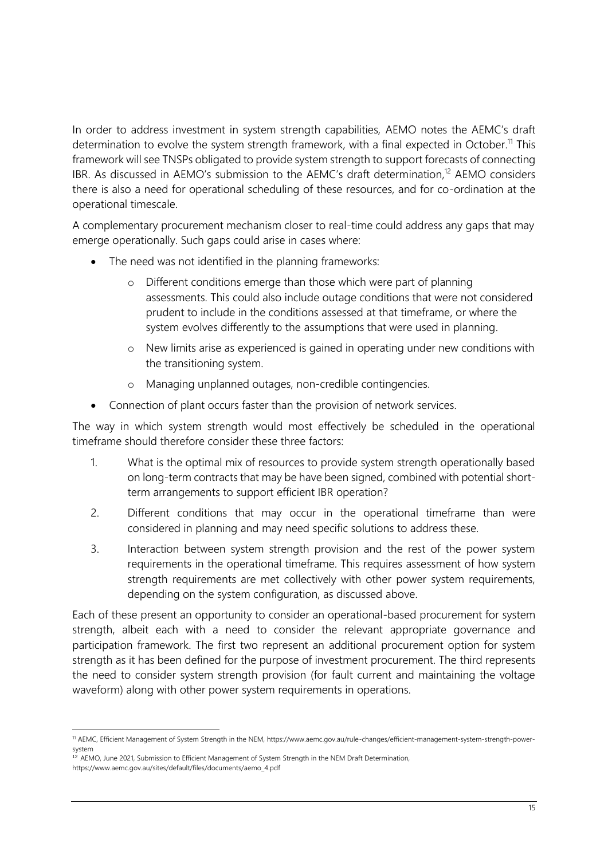In order to address investment in system strength capabilities, AEMO notes the AEMC's draft determination to evolve the system strength framework, with a final expected in October.<sup>11</sup> This framework will see TNSPs obligated to provide system strength to support forecasts of connecting IBR. As discussed in AEMO's submission to the AEMC's draft determination,<sup>12</sup> AEMO considers there is also a need for operational scheduling of these resources, and for co-ordination at the operational timescale.

A complementary procurement mechanism closer to real-time could address any gaps that may emerge operationally. Such gaps could arise in cases where:

- The need was not identified in the planning frameworks:
	- o Different conditions emerge than those which were part of planning assessments. This could also include outage conditions that were not considered prudent to include in the conditions assessed at that timeframe, or where the system evolves differently to the assumptions that were used in planning.
	- o New limits arise as experienced is gained in operating under new conditions with the transitioning system.
	- o Managing unplanned outages, non-credible contingencies.
- Connection of plant occurs faster than the provision of network services.

The way in which system strength would most effectively be scheduled in the operational timeframe should therefore consider these three factors:

- 1. What is the optimal mix of resources to provide system strength operationally based on long-term contracts that may be have been signed, combined with potential shortterm arrangements to support efficient IBR operation?
- 2. Different conditions that may occur in the operational timeframe than were considered in planning and may need specific solutions to address these.
- 3. Interaction between system strength provision and the rest of the power system requirements in the operational timeframe. This requires assessment of how system strength requirements are met collectively with other power system requirements, depending on the system configuration, as discussed above.

Each of these present an opportunity to consider an operational-based procurement for system strength, albeit each with a need to consider the relevant appropriate governance and participation framework. The first two represent an additional procurement option for system strength as it has been defined for the purpose of investment procurement. The third represents the need to consider system strength provision (for fault current and maintaining the voltage waveform) along with other power system requirements in operations.

<sup>11</sup> AEMC, Efficient Management of System Strength in the NEM, https://www.aemc.gov.au/rule-changes/efficient-management-system-strength-powersystem

<sup>&</sup>lt;sup>12</sup> AEMO, June 2021, Submission to Efficient Management of System Strength in the NEM Draft Determination, https://www.aemc.gov.au/sites/default/files/documents/aemo\_4.pdf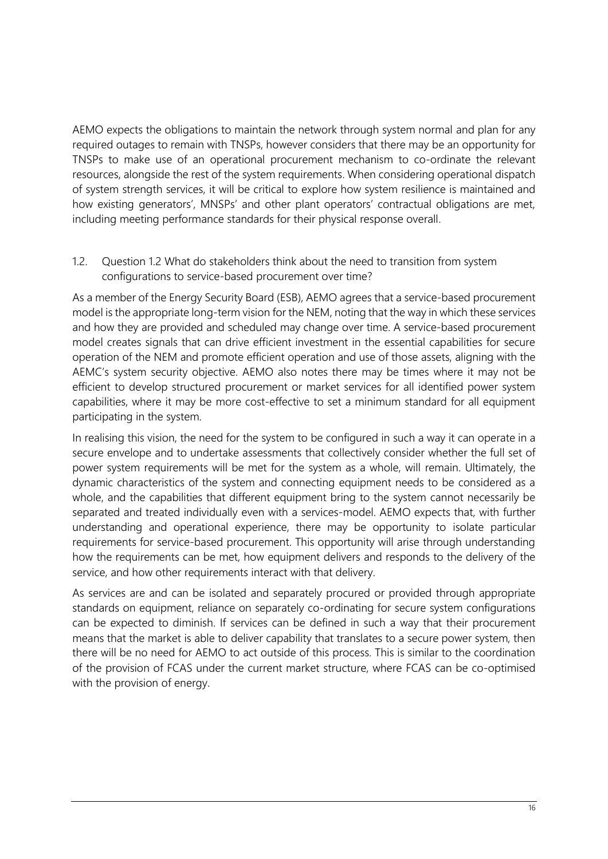AEMO expects the obligations to maintain the network through system normal and plan for any required outages to remain with TNSPs, however considers that there may be an opportunity for TNSPs to make use of an operational procurement mechanism to co-ordinate the relevant resources, alongside the rest of the system requirements. When considering operational dispatch of system strength services, it will be critical to explore how system resilience is maintained and how existing generators', MNSPs' and other plant operators' contractual obligations are met, including meeting performance standards for their physical response overall.

1.2. Question 1.2 What do stakeholders think about the need to transition from system configurations to service-based procurement over time?

As a member of the Energy Security Board (ESB), AEMO agrees that a service-based procurement model is the appropriate long-term vision for the NEM, noting that the way in which these services and how they are provided and scheduled may change over time. A service-based procurement model creates signals that can drive efficient investment in the essential capabilities for secure operation of the NEM and promote efficient operation and use of those assets, aligning with the AEMC's system security objective. AEMO also notes there may be times where it may not be efficient to develop structured procurement or market services for all identified power system capabilities, where it may be more cost-effective to set a minimum standard for all equipment participating in the system.

In realising this vision, the need for the system to be configured in such a way it can operate in a secure envelope and to undertake assessments that collectively consider whether the full set of power system requirements will be met for the system as a whole, will remain. Ultimately, the dynamic characteristics of the system and connecting equipment needs to be considered as a whole, and the capabilities that different equipment bring to the system cannot necessarily be separated and treated individually even with a services-model. AEMO expects that, with further understanding and operational experience, there may be opportunity to isolate particular requirements for service-based procurement. This opportunity will arise through understanding how the requirements can be met, how equipment delivers and responds to the delivery of the service, and how other requirements interact with that delivery.

As services are and can be isolated and separately procured or provided through appropriate standards on equipment, reliance on separately co-ordinating for secure system configurations can be expected to diminish. If services can be defined in such a way that their procurement means that the market is able to deliver capability that translates to a secure power system, then there will be no need for AEMO to act outside of this process. This is similar to the coordination of the provision of FCAS under the current market structure, where FCAS can be co-optimised with the provision of energy.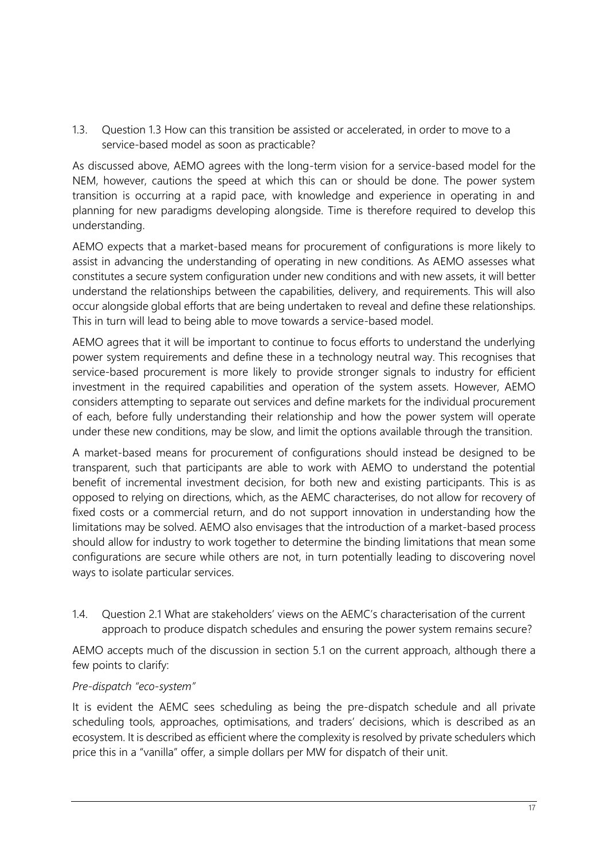1.3. Question 1.3 How can this transition be assisted or accelerated, in order to move to a service-based model as soon as practicable?

As discussed above, AEMO agrees with the long-term vision for a service-based model for the NEM, however, cautions the speed at which this can or should be done. The power system transition is occurring at a rapid pace, with knowledge and experience in operating in and planning for new paradigms developing alongside. Time is therefore required to develop this understanding.

AEMO expects that a market-based means for procurement of configurations is more likely to assist in advancing the understanding of operating in new conditions. As AEMO assesses what constitutes a secure system configuration under new conditions and with new assets, it will better understand the relationships between the capabilities, delivery, and requirements. This will also occur alongside global efforts that are being undertaken to reveal and define these relationships. This in turn will lead to being able to move towards a service-based model.

AEMO agrees that it will be important to continue to focus efforts to understand the underlying power system requirements and define these in a technology neutral way. This recognises that service-based procurement is more likely to provide stronger signals to industry for efficient investment in the required capabilities and operation of the system assets. However, AEMO considers attempting to separate out services and define markets for the individual procurement of each, before fully understanding their relationship and how the power system will operate under these new conditions, may be slow, and limit the options available through the transition.

A market-based means for procurement of configurations should instead be designed to be transparent, such that participants are able to work with AEMO to understand the potential benefit of incremental investment decision, for both new and existing participants. This is as opposed to relying on directions, which, as the AEMC characterises, do not allow for recovery of fixed costs or a commercial return, and do not support innovation in understanding how the limitations may be solved. AEMO also envisages that the introduction of a market-based process should allow for industry to work together to determine the binding limitations that mean some configurations are secure while others are not, in turn potentially leading to discovering novel ways to isolate particular services.

1.4. Question 2.1 What are stakeholders' views on the AEMC's characterisation of the current approach to produce dispatch schedules and ensuring the power system remains secure?

AEMO accepts much of the discussion in section 5.1 on the current approach, although there a few points to clarify:

### *Pre-dispatch "eco-system"*

It is evident the AEMC sees scheduling as being the pre-dispatch schedule and all private scheduling tools, approaches, optimisations, and traders' decisions, which is described as an ecosystem. It is described as efficient where the complexity is resolved by private schedulers which price this in a "vanilla" offer, a simple dollars per MW for dispatch of their unit.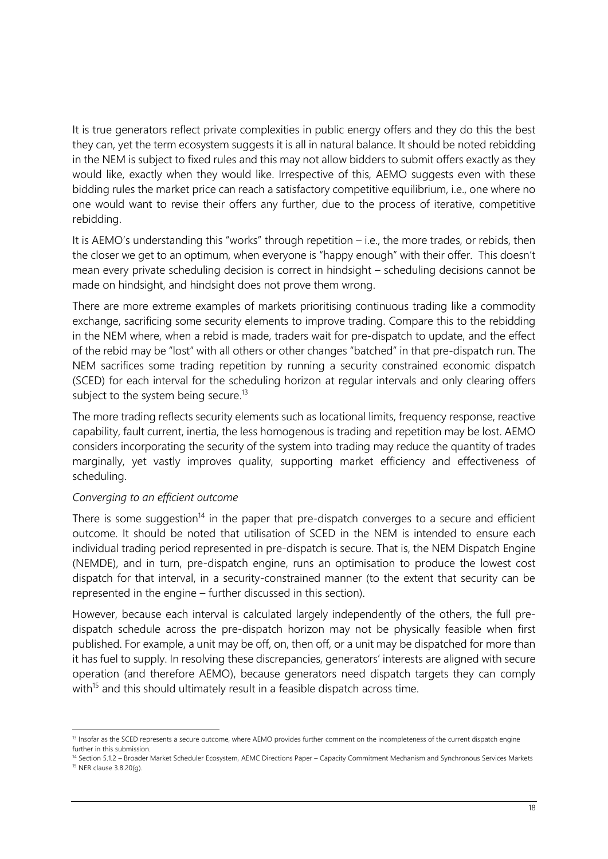It is true generators reflect private complexities in public energy offers and they do this the best they can, yet the term ecosystem suggests it is all in natural balance. It should be noted rebidding in the NEM is subject to fixed rules and this may not allow bidders to submit offers exactly as they would like, exactly when they would like. Irrespective of this, AEMO suggests even with these bidding rules the market price can reach a satisfactory competitive equilibrium, i.e., one where no one would want to revise their offers any further, due to the process of iterative, competitive rebidding.

It is AEMO's understanding this "works" through repetition – i.e., the more trades, or rebids, then the closer we get to an optimum, when everyone is "happy enough" with their offer. This doesn't mean every private scheduling decision is correct in hindsight – scheduling decisions cannot be made on hindsight, and hindsight does not prove them wrong.

There are more extreme examples of markets prioritising continuous trading like a commodity exchange, sacrificing some security elements to improve trading. Compare this to the rebidding in the NEM where, when a rebid is made, traders wait for pre-dispatch to update, and the effect of the rebid may be "lost" with all others or other changes "batched" in that pre-dispatch run. The NEM sacrifices some trading repetition by running a security constrained economic dispatch (SCED) for each interval for the scheduling horizon at regular intervals and only clearing offers subject to the system being secure.<sup>13</sup>

The more trading reflects security elements such as locational limits, frequency response, reactive capability, fault current, inertia, the less homogenous is trading and repetition may be lost. AEMO considers incorporating the security of the system into trading may reduce the quantity of trades marginally, yet vastly improves quality, supporting market efficiency and effectiveness of scheduling.

### *Converging to an efficient outcome*

There is some suggestion<sup>14</sup> in the paper that pre-dispatch converges to a secure and efficient outcome. It should be noted that utilisation of SCED in the NEM is intended to ensure each individual trading period represented in pre-dispatch is secure. That is, the NEM Dispatch Engine (NEMDE), and in turn, pre-dispatch engine, runs an optimisation to produce the lowest cost dispatch for that interval, in a security-constrained manner (to the extent that security can be represented in the engine – further discussed in this section).

However, because each interval is calculated largely independently of the others, the full predispatch schedule across the pre-dispatch horizon may not be physically feasible when first published. For example, a unit may be off, on, then off, or a unit may be dispatched for more than it has fuel to supply. In resolving these discrepancies, generators' interests are aligned with secure operation (and therefore AEMO), because generators need dispatch targets they can comply with<sup>15</sup> and this should ultimately result in a feasible dispatch across time.

<sup>&</sup>lt;sup>13</sup> Insofar as the SCED represents a secure outcome, where AEMO provides further comment on the incompleteness of the current dispatch engine further in this submission.

<sup>&</sup>lt;sup>14</sup> Section 5.1.2 - Broader Market Scheduler Ecosystem, AEMC Directions Paper – Capacity Commitment Mechanism and Synchronous Services Markets <sup>15</sup> NER clause 3.8.20(g).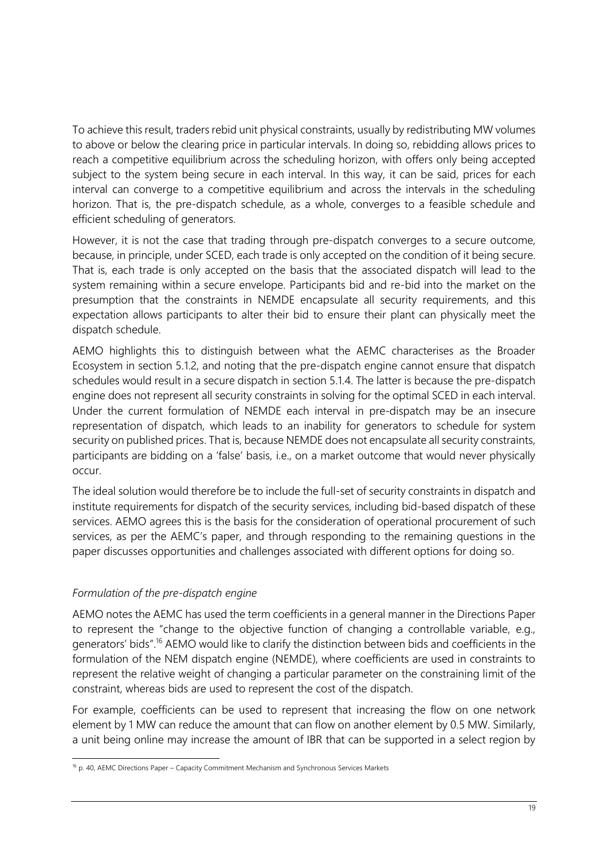To achieve this result, traders rebid unit physical constraints, usually by redistributing MW volumes to above or below the clearing price in particular intervals. In doing so, rebidding allows prices to reach a competitive equilibrium across the scheduling horizon, with offers only being accepted subject to the system being secure in each interval. In this way, it can be said, prices for each interval can converge to a competitive equilibrium and across the intervals in the scheduling horizon. That is, the pre-dispatch schedule, as a whole, converges to a feasible schedule and efficient scheduling of generators.

However, it is not the case that trading through pre-dispatch converges to a secure outcome, because, in principle, under SCED, each trade is only accepted on the condition of it being secure. That is, each trade is only accepted on the basis that the associated dispatch will lead to the system remaining within a secure envelope. Participants bid and re-bid into the market on the presumption that the constraints in NEMDE encapsulate all security requirements, and this expectation allows participants to alter their bid to ensure their plant can physically meet the dispatch schedule.

AEMO highlights this to distinguish between what the AEMC characterises as the Broader Ecosystem in section 5.1.2, and noting that the pre-dispatch engine cannot ensure that dispatch schedules would result in a secure dispatch in section 5.1.4. The latter is because the pre-dispatch engine does not represent all security constraints in solving for the optimal SCED in each interval. Under the current formulation of NEMDE each interval in pre-dispatch may be an insecure representation of dispatch, which leads to an inability for generators to schedule for system security on published prices. That is, because NEMDE does not encapsulate all security constraints, participants are bidding on a 'false' basis, i.e., on a market outcome that would never physically occur.

The ideal solution would therefore be to include the full-set of security constraints in dispatch and institute requirements for dispatch of the security services, including bid-based dispatch of these services. AEMO agrees this is the basis for the consideration of operational procurement of such services, as per the AEMC's paper, and through responding to the remaining questions in the paper discusses opportunities and challenges associated with different options for doing so.

# *Formulation of the pre-dispatch engine*

AEMO notes the AEMC has used the term coefficients in a general manner in the Directions Paper to represent the "change to the objective function of changing a controllable variable, e.g., generators' bids".<sup>16</sup> AEMO would like to clarify the distinction between bids and coefficients in the formulation of the NEM dispatch engine (NEMDE), where coefficients are used in constraints to represent the relative weight of changing a particular parameter on the constraining limit of the constraint, whereas bids are used to represent the cost of the dispatch.

For example, coefficients can be used to represent that increasing the flow on one network element by 1 MW can reduce the amount that can flow on another element by 0.5 MW. Similarly, a unit being online may increase the amount of IBR that can be supported in a select region by

<sup>&</sup>lt;sup>16</sup> p. 40, AEMC Directions Paper – Capacity Commitment Mechanism and Synchronous Services Markets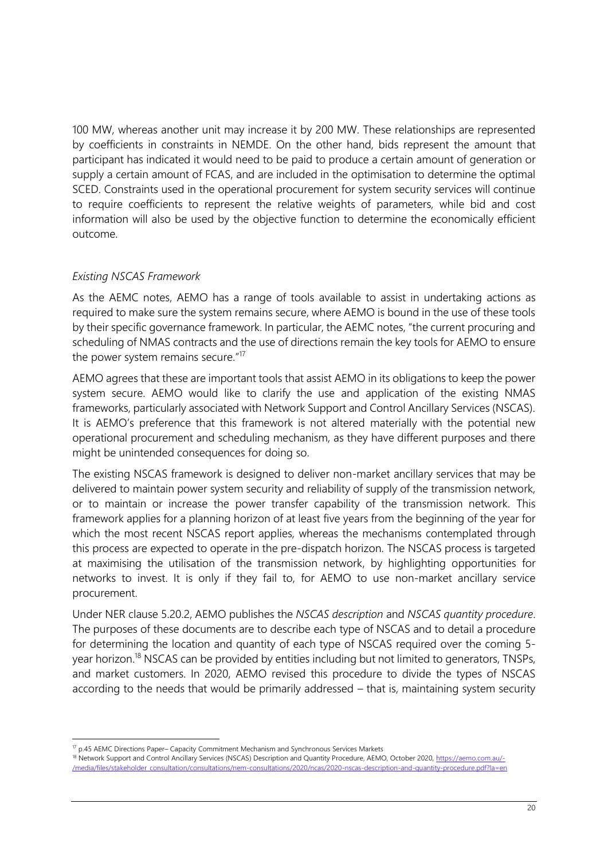100 MW, whereas another unit may increase it by 200 MW. These relationships are represented by coefficients in constraints in NEMDE. On the other hand, bids represent the amount that participant has indicated it would need to be paid to produce a certain amount of generation or supply a certain amount of FCAS, and are included in the optimisation to determine the optimal SCED. Constraints used in the operational procurement for system security services will continue to require coefficients to represent the relative weights of parameters, while bid and cost information will also be used by the objective function to determine the economically efficient outcome.

### *Existing NSCAS Framework*

As the AEMC notes, AEMO has a range of tools available to assist in undertaking actions as required to make sure the system remains secure, where AEMO is bound in the use of these tools by their specific governance framework. In particular, the AEMC notes, "the current procuring and scheduling of NMAS contracts and the use of directions remain the key tools for AEMO to ensure the power system remains secure."<sup>17</sup>

AEMO agrees that these are important tools that assist AEMO in its obligations to keep the power system secure. AEMO would like to clarify the use and application of the existing NMAS frameworks, particularly associated with Network Support and Control Ancillary Services (NSCAS). It is AEMO's preference that this framework is not altered materially with the potential new operational procurement and scheduling mechanism, as they have different purposes and there might be unintended consequences for doing so.

The existing NSCAS framework is designed to deliver non-market ancillary services that may be delivered to maintain power system security and reliability of supply of the transmission network, or to maintain or increase the power transfer capability of the transmission network. This framework applies for a planning horizon of at least five years from the beginning of the year for which the most recent NSCAS report applies, whereas the mechanisms contemplated through this process are expected to operate in the pre-dispatch horizon. The NSCAS process is targeted at maximising the utilisation of the transmission network, by highlighting opportunities for networks to invest. It is only if they fail to, for AEMO to use non-market ancillary service procurement.

Under NER clause 5.20.2, AEMO publishes the *NSCAS description* and *NSCAS quantity procedure*. The purposes of these documents are to describe each type of NSCAS and to detail a procedure for determining the location and quantity of each type of NSCAS required over the coming 5 year horizon.<sup>18</sup> NSCAS can be provided by entities including but not limited to generators, TNSPs, and market customers. In 2020, AEMO revised this procedure to divide the types of NSCAS according to the needs that would be primarily addressed – that is, maintaining system security

<sup>&</sup>lt;sup>17</sup> p.45 AEMC Directions Paper– Capacity Commitment Mechanism and Synchronous Services Markets

<sup>&</sup>lt;sup>18</sup> Network Support and Control Ancillary Services (NSCAS) Description and Quantity Procedure, AEMO, October 2020[, https://aemo.com.au/-](https://aemo.com.au/-/media/files/stakeholder_consultation/consultations/nem-consultations/2020/ncas/2020-nscas-description-and-quantity-procedure.pdf?la=en) [/media/files/stakeholder\\_consultation/consultations/nem-consultations/2020/ncas/2020-nscas-description-and-quantity-procedure.pdf?la=en](https://aemo.com.au/-/media/files/stakeholder_consultation/consultations/nem-consultations/2020/ncas/2020-nscas-description-and-quantity-procedure.pdf?la=en)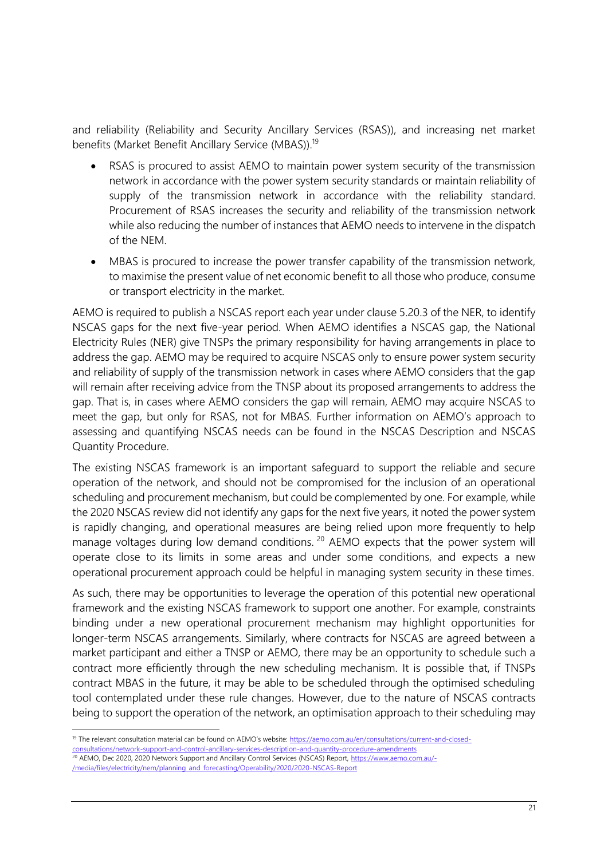and reliability (Reliability and Security Ancillary Services (RSAS)), and increasing net market benefits (Market Benefit Ancillary Service (MBAS)).<sup>19</sup>

- RSAS is procured to assist AEMO to maintain power system security of the transmission network in accordance with the power system security standards or maintain reliability of supply of the transmission network in accordance with the reliability standard. Procurement of RSAS increases the security and reliability of the transmission network while also reducing the number of instances that AEMO needs to intervene in the dispatch of the NEM.
- MBAS is procured to increase the power transfer capability of the transmission network, to maximise the present value of net economic benefit to all those who produce, consume or transport electricity in the market.

AEMO is required to publish a NSCAS report each year under clause 5.20.3 of the NER, to identify NSCAS gaps for the next five-year period. When AEMO identifies a NSCAS gap, the National Electricity Rules (NER) give TNSPs the primary responsibility for having arrangements in place to address the gap. AEMO may be required to acquire NSCAS only to ensure power system security and reliability of supply of the transmission network in cases where AEMO considers that the gap will remain after receiving advice from the TNSP about its proposed arrangements to address the gap. That is, in cases where AEMO considers the gap will remain, AEMO may acquire NSCAS to meet the gap, but only for RSAS, not for MBAS. Further information on AEMO's approach to assessing and quantifying NSCAS needs can be found in the NSCAS Description and NSCAS Quantity Procedure.

The existing NSCAS framework is an important safeguard to support the reliable and secure operation of the network, and should not be compromised for the inclusion of an operational scheduling and procurement mechanism, but could be complemented by one. For example, while the 2020 NSCAS review did not identify any gaps for the next five years, it noted the power system is rapidly changing, and operational measures are being relied upon more frequently to help manage voltages during low demand conditions.<sup>20</sup> AEMO expects that the power system will operate close to its limits in some areas and under some conditions, and expects a new operational procurement approach could be helpful in managing system security in these times.

As such, there may be opportunities to leverage the operation of this potential new operational framework and the existing NSCAS framework to support one another. For example, constraints binding under a new operational procurement mechanism may highlight opportunities for longer-term NSCAS arrangements. Similarly, where contracts for NSCAS are agreed between a market participant and either a TNSP or AEMO, there may be an opportunity to schedule such a contract more efficiently through the new scheduling mechanism. It is possible that, if TNSPs contract MBAS in the future, it may be able to be scheduled through the optimised scheduling tool contemplated under these rule changes. However, due to the nature of NSCAS contracts being to support the operation of the network, an optimisation approach to their scheduling may

<sup>&</sup>lt;sup>19</sup> The relevant consultation material can be found on AEMO's website: [https://aemo.com.au/en/consultations/current-and-closed-](https://aemo.com.au/en/consultations/current-and-closed-consultations/network-support-and-control-ancillary-services-description-and-quantity-procedure-amendments)

[consultations/network-support-and-control-ancillary-services-description-and-quantity-procedure-amendments](https://aemo.com.au/en/consultations/current-and-closed-consultations/network-support-and-control-ancillary-services-description-and-quantity-procedure-amendments)

<sup>&</sup>lt;sup>20</sup> AEMO, Dec 2020, 2020 Network Support and Ancillary Control Services (NSCAS) Report[, https://www.aemo.com.au/-](https://www.aemo.com.au/-/media/files/electricity/nem/planning_and_forecasting/Operability/2020/2020-NSCAS-Report) [/media/files/electricity/nem/planning\\_and\\_forecasting/Operability/2020/2020-NSCAS-Report](https://www.aemo.com.au/-/media/files/electricity/nem/planning_and_forecasting/Operability/2020/2020-NSCAS-Report)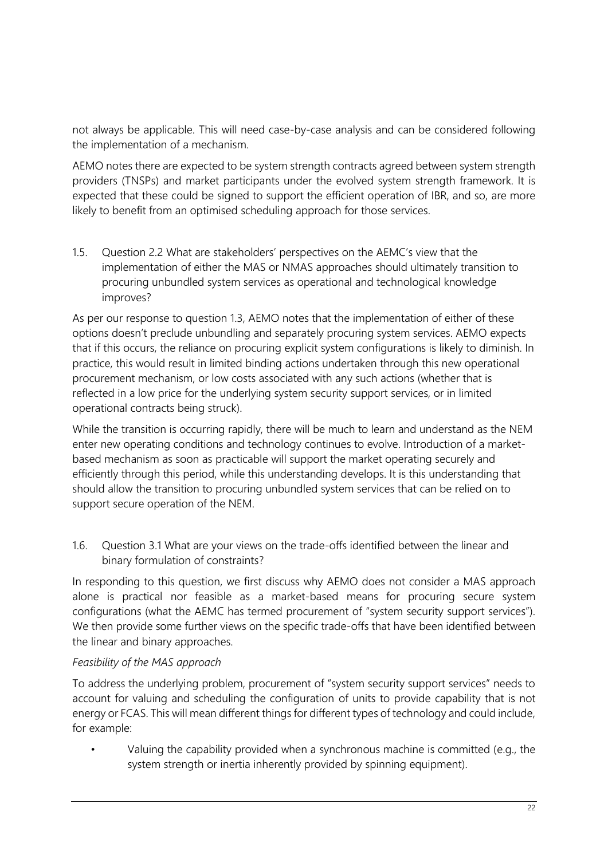not always be applicable. This will need case-by-case analysis and can be considered following the implementation of a mechanism.

AEMO notes there are expected to be system strength contracts agreed between system strength providers (TNSPs) and market participants under the evolved system strength framework. It is expected that these could be signed to support the efficient operation of IBR, and so, are more likely to benefit from an optimised scheduling approach for those services.

1.5. Question 2.2 What are stakeholders' perspectives on the AEMC's view that the implementation of either the MAS or NMAS approaches should ultimately transition to procuring unbundled system services as operational and technological knowledge improves?

As per our response to question 1.3, AEMO notes that the implementation of either of these options doesn't preclude unbundling and separately procuring system services. AEMO expects that if this occurs, the reliance on procuring explicit system configurations is likely to diminish. In practice, this would result in limited binding actions undertaken through this new operational procurement mechanism, or low costs associated with any such actions (whether that is reflected in a low price for the underlying system security support services, or in limited operational contracts being struck).

While the transition is occurring rapidly, there will be much to learn and understand as the NEM enter new operating conditions and technology continues to evolve. Introduction of a marketbased mechanism as soon as practicable will support the market operating securely and efficiently through this period, while this understanding develops. It is this understanding that should allow the transition to procuring unbundled system services that can be relied on to support secure operation of the NEM.

1.6. Question 3.1 What are your views on the trade-offs identified between the linear and binary formulation of constraints?

In responding to this question, we first discuss why AEMO does not consider a MAS approach alone is practical nor feasible as a market-based means for procuring secure system configurations (what the AEMC has termed procurement of "system security support services"). We then provide some further views on the specific trade-offs that have been identified between the linear and binary approaches.

### *Feasibility of the MAS approach*

To address the underlying problem, procurement of "system security support services" needs to account for valuing and scheduling the configuration of units to provide capability that is not energy or FCAS. This will mean different things for different types of technology and could include, for example:

• Valuing the capability provided when a synchronous machine is committed (e.g., the system strength or inertia inherently provided by spinning equipment).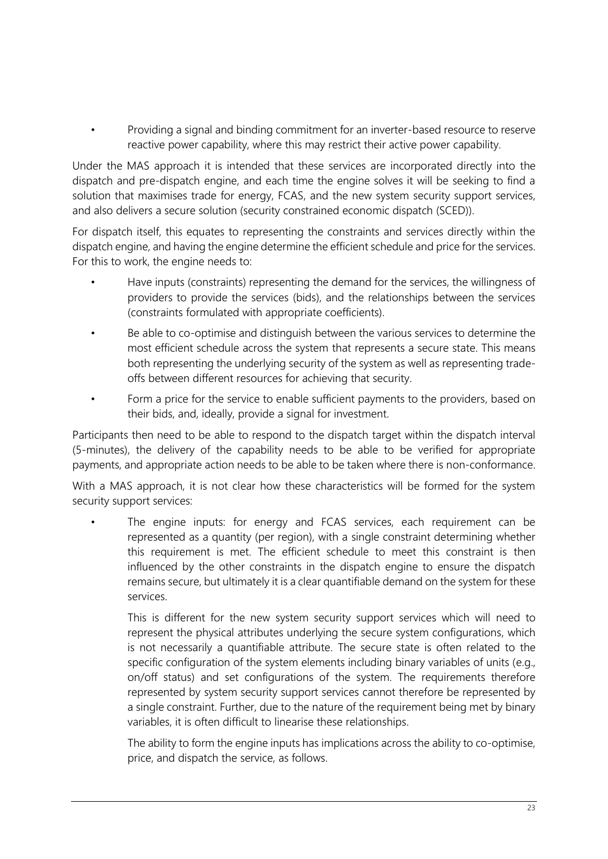• Providing a signal and binding commitment for an inverter-based resource to reserve reactive power capability, where this may restrict their active power capability.

Under the MAS approach it is intended that these services are incorporated directly into the dispatch and pre-dispatch engine, and each time the engine solves it will be seeking to find a solution that maximises trade for energy, FCAS, and the new system security support services, and also delivers a secure solution (security constrained economic dispatch (SCED)).

For dispatch itself, this equates to representing the constraints and services directly within the dispatch engine, and having the engine determine the efficient schedule and price for the services. For this to work, the engine needs to:

- Have inputs (constraints) representing the demand for the services, the willingness of providers to provide the services (bids), and the relationships between the services (constraints formulated with appropriate coefficients).
- Be able to co-optimise and distinguish between the various services to determine the most efficient schedule across the system that represents a secure state. This means both representing the underlying security of the system as well as representing tradeoffs between different resources for achieving that security.
- Form a price for the service to enable sufficient payments to the providers, based on their bids, and, ideally, provide a signal for investment.

Participants then need to be able to respond to the dispatch target within the dispatch interval (5-minutes), the delivery of the capability needs to be able to be verified for appropriate payments, and appropriate action needs to be able to be taken where there is non-conformance.

With a MAS approach, it is not clear how these characteristics will be formed for the system security support services:

The engine inputs: for energy and FCAS services, each requirement can be represented as a quantity (per region), with a single constraint determining whether this requirement is met. The efficient schedule to meet this constraint is then influenced by the other constraints in the dispatch engine to ensure the dispatch remains secure, but ultimately it is a clear quantifiable demand on the system for these services.

This is different for the new system security support services which will need to represent the physical attributes underlying the secure system configurations, which is not necessarily a quantifiable attribute. The secure state is often related to the specific configuration of the system elements including binary variables of units (e.g., on/off status) and set configurations of the system. The requirements therefore represented by system security support services cannot therefore be represented by a single constraint. Further, due to the nature of the requirement being met by binary variables, it is often difficult to linearise these relationships.

The ability to form the engine inputs has implications across the ability to co-optimise, price, and dispatch the service, as follows.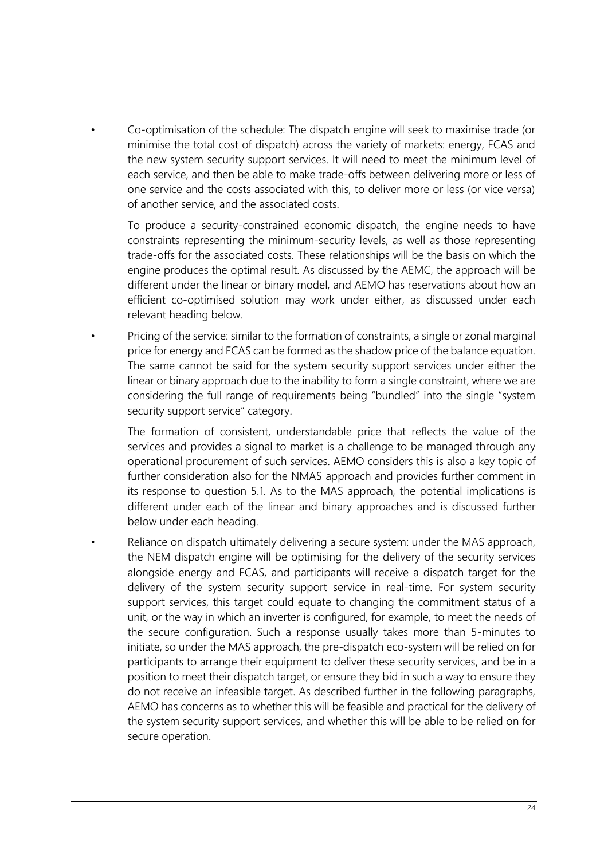• Co-optimisation of the schedule: The dispatch engine will seek to maximise trade (or minimise the total cost of dispatch) across the variety of markets: energy, FCAS and the new system security support services. It will need to meet the minimum level of each service, and then be able to make trade-offs between delivering more or less of one service and the costs associated with this, to deliver more or less (or vice versa) of another service, and the associated costs.

To produce a security-constrained economic dispatch, the engine needs to have constraints representing the minimum-security levels, as well as those representing trade-offs for the associated costs. These relationships will be the basis on which the engine produces the optimal result. As discussed by the AEMC, the approach will be different under the linear or binary model, and AEMO has reservations about how an efficient co-optimised solution may work under either, as discussed under each relevant heading below.

• Pricing of the service: similar to the formation of constraints, a single or zonal marginal price for energy and FCAS can be formed as the shadow price of the balance equation. The same cannot be said for the system security support services under either the linear or binary approach due to the inability to form a single constraint, where we are considering the full range of requirements being "bundled" into the single "system security support service" category.

The formation of consistent, understandable price that reflects the value of the services and provides a signal to market is a challenge to be managed through any operational procurement of such services. AEMO considers this is also a key topic of further consideration also for the NMAS approach and provides further comment in its response to question 5.1. As to the MAS approach, the potential implications is different under each of the linear and binary approaches and is discussed further below under each heading.

Reliance on dispatch ultimately delivering a secure system: under the MAS approach, the NEM dispatch engine will be optimising for the delivery of the security services alongside energy and FCAS, and participants will receive a dispatch target for the delivery of the system security support service in real-time. For system security support services, this target could equate to changing the commitment status of a unit, or the way in which an inverter is configured, for example, to meet the needs of the secure configuration. Such a response usually takes more than 5-minutes to initiate, so under the MAS approach, the pre-dispatch eco-system will be relied on for participants to arrange their equipment to deliver these security services, and be in a position to meet their dispatch target, or ensure they bid in such a way to ensure they do not receive an infeasible target. As described further in the following paragraphs, AEMO has concerns as to whether this will be feasible and practical for the delivery of the system security support services, and whether this will be able to be relied on for secure operation.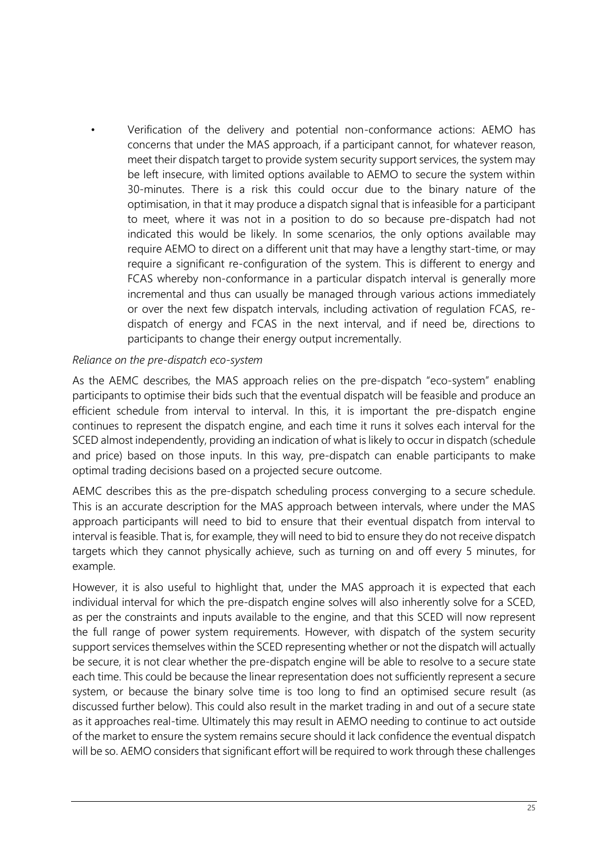• Verification of the delivery and potential non-conformance actions: AEMO has concerns that under the MAS approach, if a participant cannot, for whatever reason, meet their dispatch target to provide system security support services, the system may be left insecure, with limited options available to AEMO to secure the system within 30-minutes. There is a risk this could occur due to the binary nature of the optimisation, in that it may produce a dispatch signal that is infeasible for a participant to meet, where it was not in a position to do so because pre-dispatch had not indicated this would be likely. In some scenarios, the only options available may require AEMO to direct on a different unit that may have a lengthy start-time, or may require a significant re-configuration of the system. This is different to energy and FCAS whereby non-conformance in a particular dispatch interval is generally more incremental and thus can usually be managed through various actions immediately or over the next few dispatch intervals, including activation of regulation FCAS, redispatch of energy and FCAS in the next interval, and if need be, directions to participants to change their energy output incrementally.

### *Reliance on the pre-dispatch eco-system*

As the AEMC describes, the MAS approach relies on the pre-dispatch "eco-system" enabling participants to optimise their bids such that the eventual dispatch will be feasible and produce an efficient schedule from interval to interval. In this, it is important the pre-dispatch engine continues to represent the dispatch engine, and each time it runs it solves each interval for the SCED almost independently, providing an indication of what is likely to occur in dispatch (schedule and price) based on those inputs. In this way, pre-dispatch can enable participants to make optimal trading decisions based on a projected secure outcome.

AEMC describes this as the pre-dispatch scheduling process converging to a secure schedule. This is an accurate description for the MAS approach between intervals, where under the MAS approach participants will need to bid to ensure that their eventual dispatch from interval to interval is feasible. That is, for example, they will need to bid to ensure they do not receive dispatch targets which they cannot physically achieve, such as turning on and off every 5 minutes, for example.

However, it is also useful to highlight that, under the MAS approach it is expected that each individual interval for which the pre-dispatch engine solves will also inherently solve for a SCED, as per the constraints and inputs available to the engine, and that this SCED will now represent the full range of power system requirements. However, with dispatch of the system security support services themselves within the SCED representing whether or not the dispatch will actually be secure, it is not clear whether the pre-dispatch engine will be able to resolve to a secure state each time. This could be because the linear representation does not sufficiently represent a secure system, or because the binary solve time is too long to find an optimised secure result (as discussed further below). This could also result in the market trading in and out of a secure state as it approaches real-time. Ultimately this may result in AEMO needing to continue to act outside of the market to ensure the system remains secure should it lack confidence the eventual dispatch will be so. AEMO considers that significant effort will be required to work through these challenges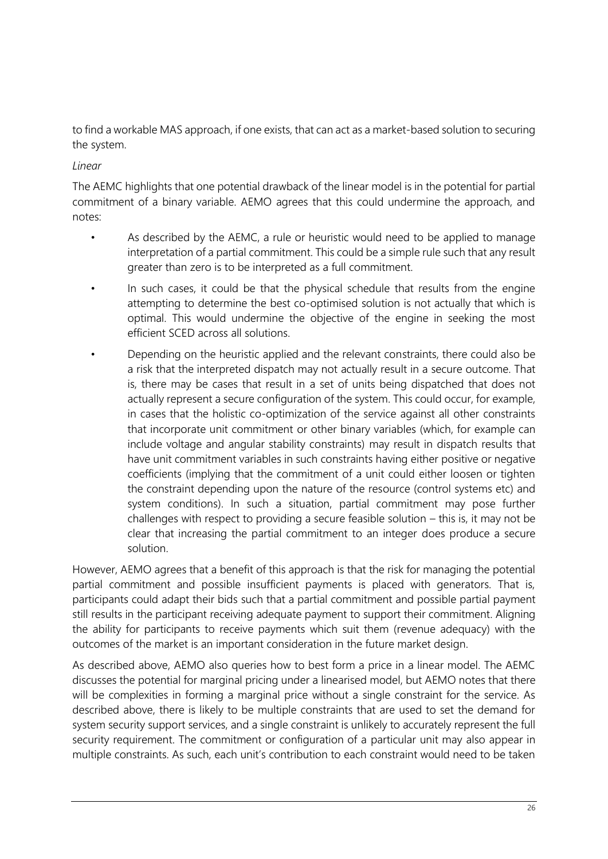to find a workable MAS approach, if one exists, that can act as a market-based solution to securing the system.

### *Linear*

The AEMC highlights that one potential drawback of the linear model is in the potential for partial commitment of a binary variable. AEMO agrees that this could undermine the approach, and notes:

- As described by the AEMC, a rule or heuristic would need to be applied to manage interpretation of a partial commitment. This could be a simple rule such that any result greater than zero is to be interpreted as a full commitment.
- In such cases, it could be that the physical schedule that results from the engine attempting to determine the best co-optimised solution is not actually that which is optimal. This would undermine the objective of the engine in seeking the most efficient SCED across all solutions.
- Depending on the heuristic applied and the relevant constraints, there could also be a risk that the interpreted dispatch may not actually result in a secure outcome. That is, there may be cases that result in a set of units being dispatched that does not actually represent a secure configuration of the system. This could occur, for example, in cases that the holistic co-optimization of the service against all other constraints that incorporate unit commitment or other binary variables (which, for example can include voltage and angular stability constraints) may result in dispatch results that have unit commitment variables in such constraints having either positive or negative coefficients (implying that the commitment of a unit could either loosen or tighten the constraint depending upon the nature of the resource (control systems etc) and system conditions). In such a situation, partial commitment may pose further challenges with respect to providing a secure feasible solution – this is, it may not be clear that increasing the partial commitment to an integer does produce a secure solution.

However, AEMO agrees that a benefit of this approach is that the risk for managing the potential partial commitment and possible insufficient payments is placed with generators. That is, participants could adapt their bids such that a partial commitment and possible partial payment still results in the participant receiving adequate payment to support their commitment. Aligning the ability for participants to receive payments which suit them (revenue adequacy) with the outcomes of the market is an important consideration in the future market design.

As described above, AEMO also queries how to best form a price in a linear model. The AEMC discusses the potential for marginal pricing under a linearised model, but AEMO notes that there will be complexities in forming a marginal price without a single constraint for the service. As described above, there is likely to be multiple constraints that are used to set the demand for system security support services, and a single constraint is unlikely to accurately represent the full security requirement. The commitment or configuration of a particular unit may also appear in multiple constraints. As such, each unit's contribution to each constraint would need to be taken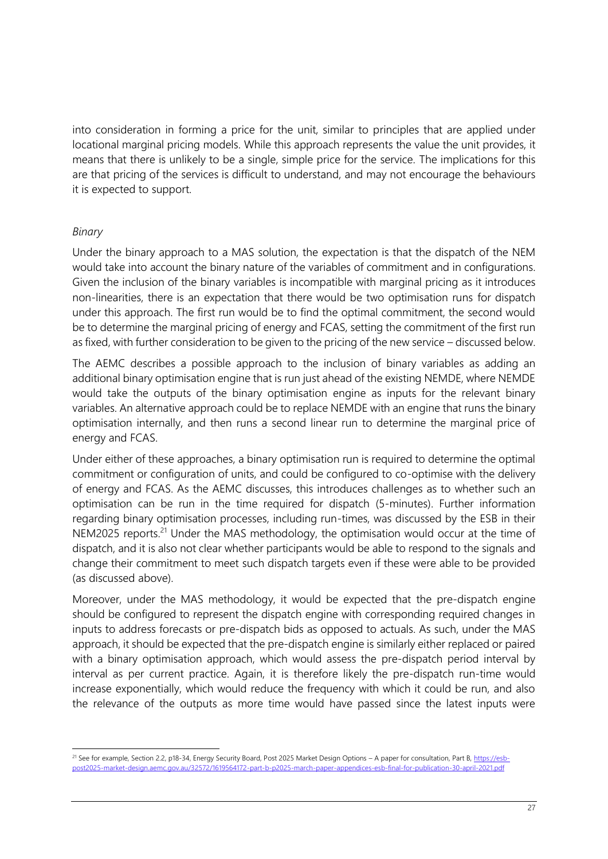into consideration in forming a price for the unit, similar to principles that are applied under locational marginal pricing models. While this approach represents the value the unit provides, it means that there is unlikely to be a single, simple price for the service. The implications for this are that pricing of the services is difficult to understand, and may not encourage the behaviours it is expected to support.

#### *Binary*

Under the binary approach to a MAS solution, the expectation is that the dispatch of the NEM would take into account the binary nature of the variables of commitment and in configurations. Given the inclusion of the binary variables is incompatible with marginal pricing as it introduces non-linearities, there is an expectation that there would be two optimisation runs for dispatch under this approach. The first run would be to find the optimal commitment, the second would be to determine the marginal pricing of energy and FCAS, setting the commitment of the first run as fixed, with further consideration to be given to the pricing of the new service – discussed below.

The AEMC describes a possible approach to the inclusion of binary variables as adding an additional binary optimisation engine that is run just ahead of the existing NEMDE, where NEMDE would take the outputs of the binary optimisation engine as inputs for the relevant binary variables. An alternative approach could be to replace NEMDE with an engine that runs the binary optimisation internally, and then runs a second linear run to determine the marginal price of energy and FCAS.

Under either of these approaches, a binary optimisation run is required to determine the optimal commitment or configuration of units, and could be configured to co-optimise with the delivery of energy and FCAS. As the AEMC discusses, this introduces challenges as to whether such an optimisation can be run in the time required for dispatch (5-minutes). Further information regarding binary optimisation processes, including run-times, was discussed by the ESB in their NEM2025 reports.<sup>21</sup> Under the MAS methodology, the optimisation would occur at the time of dispatch, and it is also not clear whether participants would be able to respond to the signals and change their commitment to meet such dispatch targets even if these were able to be provided (as discussed above).

Moreover, under the MAS methodology, it would be expected that the pre-dispatch engine should be configured to represent the dispatch engine with corresponding required changes in inputs to address forecasts or pre-dispatch bids as opposed to actuals. As such, under the MAS approach, it should be expected that the pre-dispatch engine is similarly either replaced or paired with a binary optimisation approach, which would assess the pre-dispatch period interval by interval as per current practice. Again, it is therefore likely the pre-dispatch run-time would increase exponentially, which would reduce the frequency with which it could be run, and also the relevance of the outputs as more time would have passed since the latest inputs were

<sup>&</sup>lt;sup>21</sup> See for example, Section 2.2, p18-34, Energy Security Board, Post 2025 Market Design Options - A paper for consultation, Part B[, https://esb](https://esb-post2025-market-design.aemc.gov.au/32572/1619564172-part-b-p2025-march-paper-appendices-esb-final-for-publication-30-april-2021.pdf)[post2025-market-design.aemc.gov.au/32572/1619564172-part-b-p2025-march-paper-appendices-esb-final-for-publication-30-april-2021.pdf](https://esb-post2025-market-design.aemc.gov.au/32572/1619564172-part-b-p2025-march-paper-appendices-esb-final-for-publication-30-april-2021.pdf)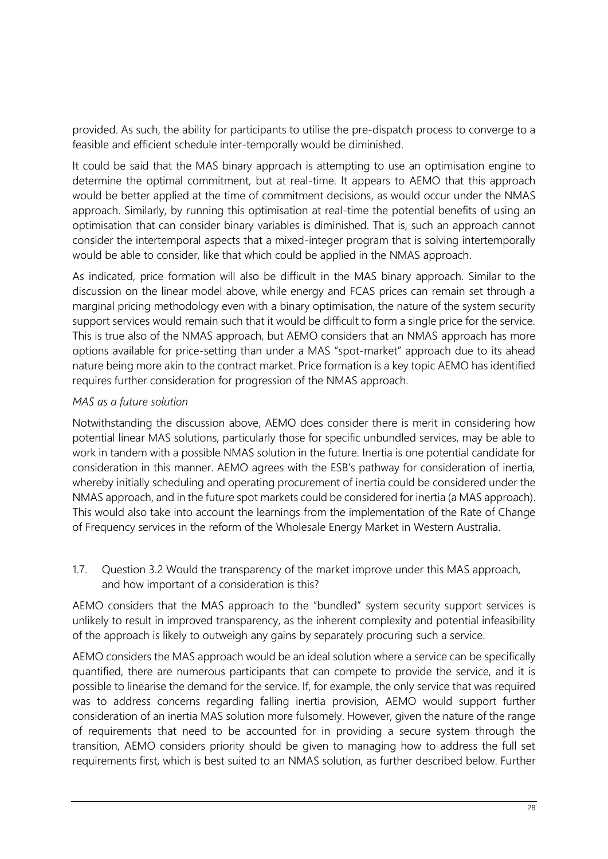provided. As such, the ability for participants to utilise the pre-dispatch process to converge to a feasible and efficient schedule inter-temporally would be diminished.

It could be said that the MAS binary approach is attempting to use an optimisation engine to determine the optimal commitment, but at real-time. It appears to AEMO that this approach would be better applied at the time of commitment decisions, as would occur under the NMAS approach. Similarly, by running this optimisation at real-time the potential benefits of using an optimisation that can consider binary variables is diminished. That is, such an approach cannot consider the intertemporal aspects that a mixed-integer program that is solving intertemporally would be able to consider, like that which could be applied in the NMAS approach.

As indicated, price formation will also be difficult in the MAS binary approach. Similar to the discussion on the linear model above, while energy and FCAS prices can remain set through a marginal pricing methodology even with a binary optimisation, the nature of the system security support services would remain such that it would be difficult to form a single price for the service. This is true also of the NMAS approach, but AEMO considers that an NMAS approach has more options available for price-setting than under a MAS "spot-market" approach due to its ahead nature being more akin to the contract market. Price formation is a key topic AEMO has identified requires further consideration for progression of the NMAS approach.

### *MAS as a future solution*

Notwithstanding the discussion above, AEMO does consider there is merit in considering how potential linear MAS solutions, particularly those for specific unbundled services, may be able to work in tandem with a possible NMAS solution in the future. Inertia is one potential candidate for consideration in this manner. AEMO agrees with the ESB's pathway for consideration of inertia, whereby initially scheduling and operating procurement of inertia could be considered under the NMAS approach, and in the future spot markets could be considered for inertia (a MAS approach). This would also take into account the learnings from the implementation of the Rate of Change of Frequency services in the reform of the Wholesale Energy Market in Western Australia.

1.7. Question 3.2 Would the transparency of the market improve under this MAS approach, and how important of a consideration is this?

AEMO considers that the MAS approach to the "bundled" system security support services is unlikely to result in improved transparency, as the inherent complexity and potential infeasibility of the approach is likely to outweigh any gains by separately procuring such a service.

AEMO considers the MAS approach would be an ideal solution where a service can be specifically quantified, there are numerous participants that can compete to provide the service, and it is possible to linearise the demand for the service. If, for example, the only service that was required was to address concerns regarding falling inertia provision, AEMO would support further consideration of an inertia MAS solution more fulsomely. However, given the nature of the range of requirements that need to be accounted for in providing a secure system through the transition, AEMO considers priority should be given to managing how to address the full set requirements first, which is best suited to an NMAS solution, as further described below. Further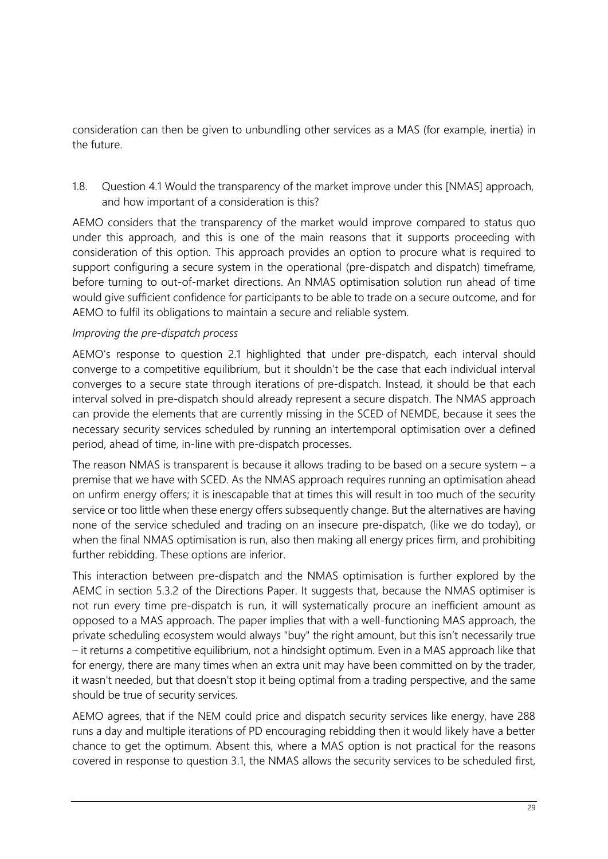consideration can then be given to unbundling other services as a MAS (for example, inertia) in the future.

1.8. Question 4.1 Would the transparency of the market improve under this [NMAS] approach, and how important of a consideration is this?

AEMO considers that the transparency of the market would improve compared to status quo under this approach, and this is one of the main reasons that it supports proceeding with consideration of this option. This approach provides an option to procure what is required to support configuring a secure system in the operational (pre-dispatch and dispatch) timeframe, before turning to out-of-market directions. An NMAS optimisation solution run ahead of time would give sufficient confidence for participants to be able to trade on a secure outcome, and for AEMO to fulfil its obligations to maintain a secure and reliable system.

### *Improving the pre-dispatch process*

AEMO's response to question 2.1 highlighted that under pre-dispatch, each interval should converge to a competitive equilibrium, but it shouldn't be the case that each individual interval converges to a secure state through iterations of pre-dispatch. Instead, it should be that each interval solved in pre-dispatch should already represent a secure dispatch. The NMAS approach can provide the elements that are currently missing in the SCED of NEMDE, because it sees the necessary security services scheduled by running an intertemporal optimisation over a defined period, ahead of time, in-line with pre-dispatch processes.

The reason NMAS is transparent is because it allows trading to be based on a secure system  $-$  a premise that we have with SCED. As the NMAS approach requires running an optimisation ahead on unfirm energy offers; it is inescapable that at times this will result in too much of the security service or too little when these energy offers subsequently change. But the alternatives are having none of the service scheduled and trading on an insecure pre-dispatch, (like we do today), or when the final NMAS optimisation is run, also then making all energy prices firm, and prohibiting further rebidding. These options are inferior.

This interaction between pre-dispatch and the NMAS optimisation is further explored by the AEMC in section 5.3.2 of the Directions Paper. It suggests that, because the NMAS optimiser is not run every time pre-dispatch is run, it will systematically procure an inefficient amount as opposed to a MAS approach. The paper implies that with a well-functioning MAS approach, the private scheduling ecosystem would always "buy" the right amount, but this isn't necessarily true – it returns a competitive equilibrium, not a hindsight optimum. Even in a MAS approach like that for energy, there are many times when an extra unit may have been committed on by the trader, it wasn't needed, but that doesn't stop it being optimal from a trading perspective, and the same should be true of security services.

AEMO agrees, that if the NEM could price and dispatch security services like energy, have 288 runs a day and multiple iterations of PD encouraging rebidding then it would likely have a better chance to get the optimum. Absent this, where a MAS option is not practical for the reasons covered in response to question 3.1, the NMAS allows the security services to be scheduled first,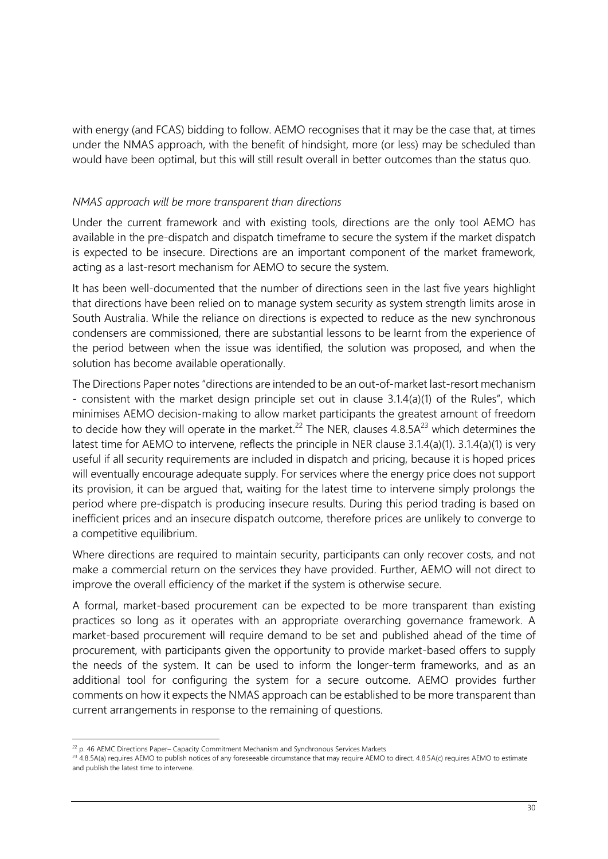with energy (and FCAS) bidding to follow. AEMO recognises that it may be the case that, at times under the NMAS approach, with the benefit of hindsight, more (or less) may be scheduled than would have been optimal, but this will still result overall in better outcomes than the status quo.

#### *NMAS approach will be more transparent than directions*

Under the current framework and with existing tools, directions are the only tool AEMO has available in the pre-dispatch and dispatch timeframe to secure the system if the market dispatch is expected to be insecure. Directions are an important component of the market framework, acting as a last-resort mechanism for AEMO to secure the system.

It has been well-documented that the number of directions seen in the last five years highlight that directions have been relied on to manage system security as system strength limits arose in South Australia. While the reliance on directions is expected to reduce as the new synchronous condensers are commissioned, there are substantial lessons to be learnt from the experience of the period between when the issue was identified, the solution was proposed, and when the solution has become available operationally.

The Directions Paper notes "directions are intended to be an out-of-market last-resort mechanism - consistent with the market design principle set out in clause 3.1.4(a)(1) of the Rules", which minimises AEMO decision-making to allow market participants the greatest amount of freedom to decide how they will operate in the market.<sup>22</sup> The NER, clauses  $4.8.5A^{23}$  which determines the latest time for AEMO to intervene, reflects the principle in NER clause 3.1.4(a)(1). 3.1.4(a)(1) is very useful if all security requirements are included in dispatch and pricing, because it is hoped prices will eventually encourage adequate supply. For services where the energy price does not support its provision, it can be argued that, waiting for the latest time to intervene simply prolongs the period where pre-dispatch is producing insecure results. During this period trading is based on inefficient prices and an insecure dispatch outcome, therefore prices are unlikely to converge to a competitive equilibrium.

Where directions are required to maintain security, participants can only recover costs, and not make a commercial return on the services they have provided. Further, AEMO will not direct to improve the overall efficiency of the market if the system is otherwise secure.

A formal, market-based procurement can be expected to be more transparent than existing practices so long as it operates with an appropriate overarching governance framework. A market-based procurement will require demand to be set and published ahead of the time of procurement, with participants given the opportunity to provide market-based offers to supply the needs of the system. It can be used to inform the longer-term frameworks, and as an additional tool for configuring the system for a secure outcome. AEMO provides further comments on how it expects the NMAS approach can be established to be more transparent than current arrangements in response to the remaining of questions.

<sup>&</sup>lt;sup>22</sup> p. 46 AEMC Directions Paper– Capacity Commitment Mechanism and Synchronous Services Markets

<sup>&</sup>lt;sup>23</sup> 4.8.5A(a) requires AEMO to publish notices of any foreseeable circumstance that may require AEMO to direct. 4.8.5A(c) requires AEMO to estimate and publish the latest time to intervene.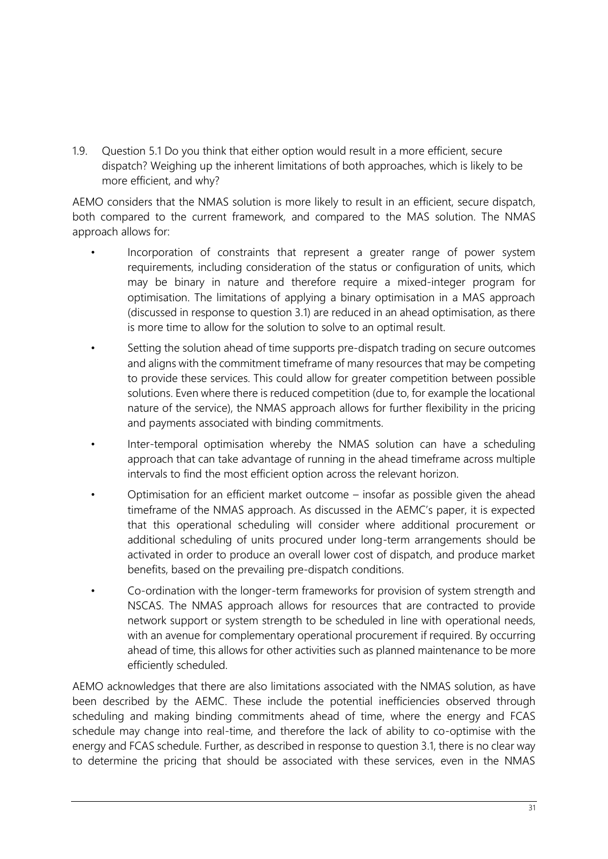1.9. Question 5.1 Do you think that either option would result in a more efficient, secure dispatch? Weighing up the inherent limitations of both approaches, which is likely to be more efficient, and why?

AEMO considers that the NMAS solution is more likely to result in an efficient, secure dispatch, both compared to the current framework, and compared to the MAS solution. The NMAS approach allows for:

- Incorporation of constraints that represent a greater range of power system requirements, including consideration of the status or configuration of units, which may be binary in nature and therefore require a mixed-integer program for optimisation. The limitations of applying a binary optimisation in a MAS approach (discussed in response to question 3.1) are reduced in an ahead optimisation, as there is more time to allow for the solution to solve to an optimal result.
- Setting the solution ahead of time supports pre-dispatch trading on secure outcomes and aligns with the commitment timeframe of many resources that may be competing to provide these services. This could allow for greater competition between possible solutions. Even where there is reduced competition (due to, for example the locational nature of the service), the NMAS approach allows for further flexibility in the pricing and payments associated with binding commitments.
- Inter-temporal optimisation whereby the NMAS solution can have a scheduling approach that can take advantage of running in the ahead timeframe across multiple intervals to find the most efficient option across the relevant horizon.
- Optimisation for an efficient market outcome  $-$  insofar as possible given the ahead timeframe of the NMAS approach. As discussed in the AEMC's paper, it is expected that this operational scheduling will consider where additional procurement or additional scheduling of units procured under long-term arrangements should be activated in order to produce an overall lower cost of dispatch, and produce market benefits, based on the prevailing pre-dispatch conditions.
- Co-ordination with the longer-term frameworks for provision of system strength and NSCAS. The NMAS approach allows for resources that are contracted to provide network support or system strength to be scheduled in line with operational needs, with an avenue for complementary operational procurement if required. By occurring ahead of time, this allows for other activities such as planned maintenance to be more efficiently scheduled.

AEMO acknowledges that there are also limitations associated with the NMAS solution, as have been described by the AEMC. These include the potential inefficiencies observed through scheduling and making binding commitments ahead of time, where the energy and FCAS schedule may change into real-time, and therefore the lack of ability to co-optimise with the energy and FCAS schedule. Further, as described in response to question 3.1, there is no clear way to determine the pricing that should be associated with these services, even in the NMAS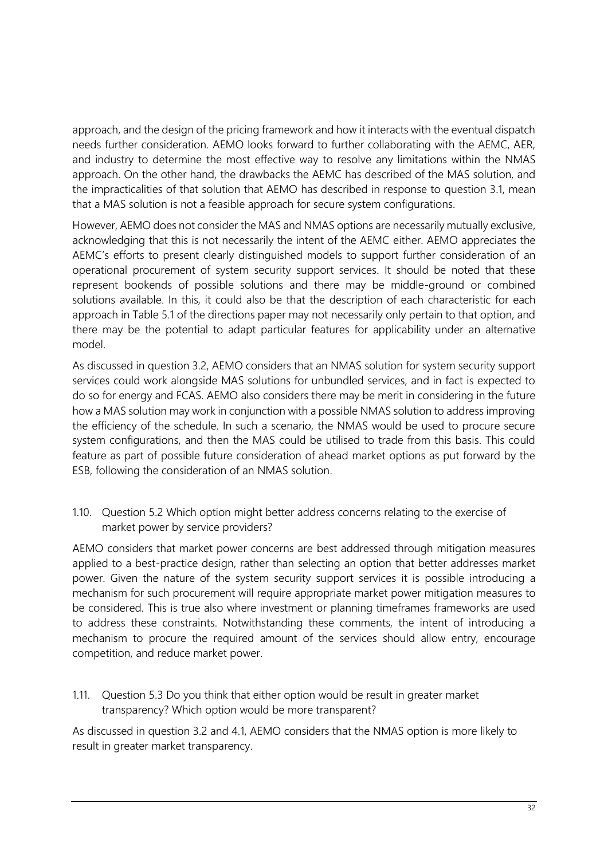approach, and the design of the pricing framework and how it interacts with the eventual dispatch needs further consideration. AEMO looks forward to further collaborating with the AEMC, AER, and industry to determine the most effective way to resolve any limitations within the NMAS approach. On the other hand, the drawbacks the AEMC has described of the MAS solution, and the impracticalities of that solution that AEMO has described in response to question 3.1, mean that a MAS solution is not a feasible approach for secure system configurations.

However, AEMO does not consider the MAS and NMAS options are necessarily mutually exclusive, acknowledging that this is not necessarily the intent of the AEMC either. AEMO appreciates the AEMC's efforts to present clearly distinguished models to support further consideration of an operational procurement of system security support services. It should be noted that these represent bookends of possible solutions and there may be middle-ground or combined solutions available. In this, it could also be that the description of each characteristic for each approach in Table 5.1 of the directions paper may not necessarily only pertain to that option, and there may be the potential to adapt particular features for applicability under an alternative model.

As discussed in question 3.2, AEMO considers that an NMAS solution for system security support services could work alongside MAS solutions for unbundled services, and in fact is expected to do so for energy and FCAS. AEMO also considers there may be merit in considering in the future how a MAS solution may work in conjunction with a possible NMAS solution to address improving the efficiency of the schedule. In such a scenario, the NMAS would be used to procure secure system configurations, and then the MAS could be utilised to trade from this basis. This could feature as part of possible future consideration of ahead market options as put forward by the ESB, following the consideration of an NMAS solution.

1.10. Question 5.2 Which option might better address concerns relating to the exercise of market power by service providers?

AEMO considers that market power concerns are best addressed through mitigation measures applied to a best-practice design, rather than selecting an option that better addresses market power. Given the nature of the system security support services it is possible introducing a mechanism for such procurement will require appropriate market power mitigation measures to be considered. This is true also where investment or planning timeframes frameworks are used to address these constraints. Notwithstanding these comments, the intent of introducing a mechanism to procure the required amount of the services should allow entry, encourage competition, and reduce market power.

1.11. Question 5.3 Do you think that either option would be result in greater market transparency? Which option would be more transparent?

As discussed in question 3.2 and 4.1, AEMO considers that the NMAS option is more likely to result in greater market transparency.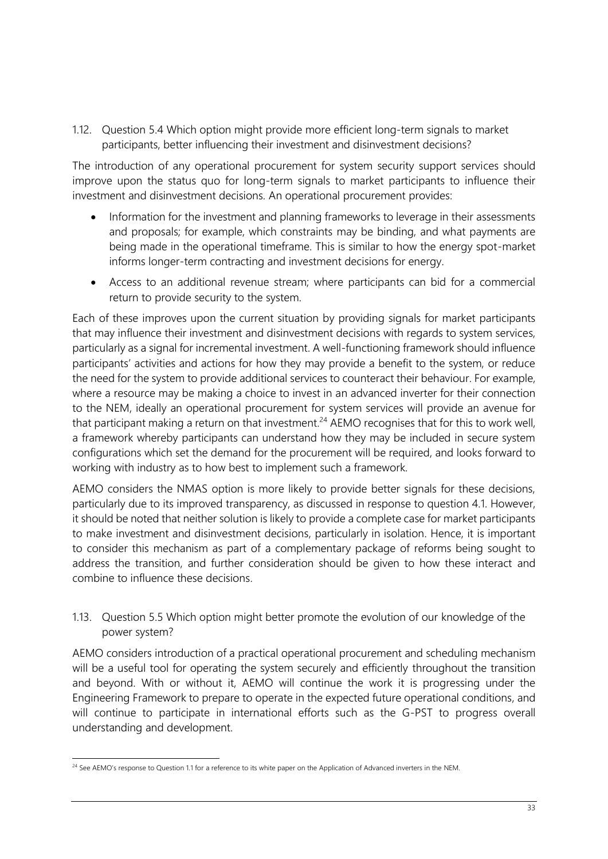1.12. Question 5.4 Which option might provide more efficient long-term signals to market participants, better influencing their investment and disinvestment decisions?

The introduction of any operational procurement for system security support services should improve upon the status quo for long-term signals to market participants to influence their investment and disinvestment decisions. An operational procurement provides:

- Information for the investment and planning frameworks to leverage in their assessments and proposals; for example, which constraints may be binding, and what payments are being made in the operational timeframe. This is similar to how the energy spot-market informs longer-term contracting and investment decisions for energy.
- Access to an additional revenue stream; where participants can bid for a commercial return to provide security to the system.

Each of these improves upon the current situation by providing signals for market participants that may influence their investment and disinvestment decisions with regards to system services, particularly as a signal for incremental investment. A well-functioning framework should influence participants' activities and actions for how they may provide a benefit to the system, or reduce the need for the system to provide additional services to counteract their behaviour. For example, where a resource may be making a choice to invest in an advanced inverter for their connection to the NEM, ideally an operational procurement for system services will provide an avenue for that participant making a return on that investment.<sup>24</sup> AEMO recognises that for this to work well, a framework whereby participants can understand how they may be included in secure system configurations which set the demand for the procurement will be required, and looks forward to working with industry as to how best to implement such a framework.

AEMO considers the NMAS option is more likely to provide better signals for these decisions, particularly due to its improved transparency, as discussed in response to question 4.1. However, it should be noted that neither solution is likely to provide a complete case for market participants to make investment and disinvestment decisions, particularly in isolation. Hence, it is important to consider this mechanism as part of a complementary package of reforms being sought to address the transition, and further consideration should be given to how these interact and combine to influence these decisions.

1.13. Question 5.5 Which option might better promote the evolution of our knowledge of the power system?

AEMO considers introduction of a practical operational procurement and scheduling mechanism will be a useful tool for operating the system securely and efficiently throughout the transition and beyond. With or without it, AEMO will continue the work it is progressing under the Engineering Framework to prepare to operate in the expected future operational conditions, and will continue to participate in international efforts such as the G-PST to progress overall understanding and development.

<sup>&</sup>lt;sup>24</sup> See AEMO's response to Question 1.1 for a reference to its white paper on the Application of Advanced inverters in the NEM.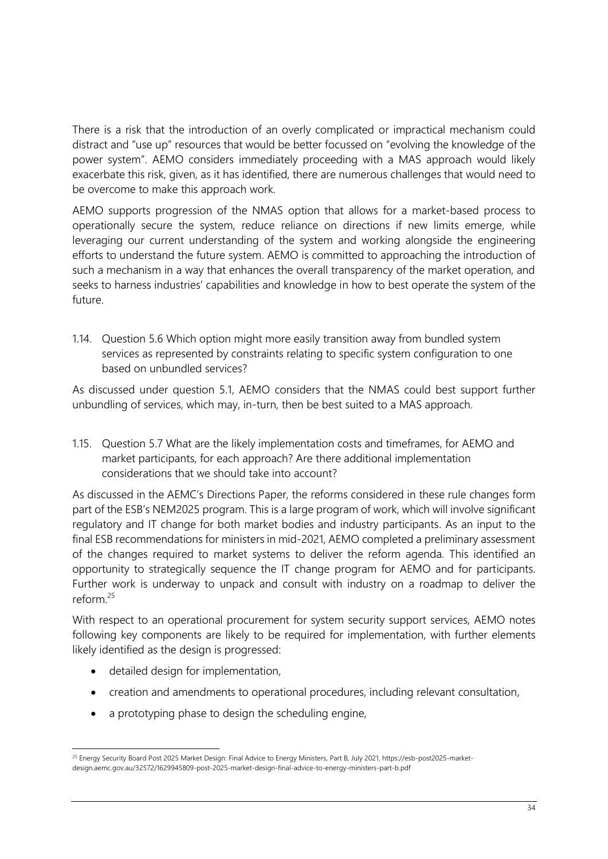There is a risk that the introduction of an overly complicated or impractical mechanism could distract and "use up" resources that would be better focussed on "evolving the knowledge of the power system". AEMO considers immediately proceeding with a MAS approach would likely exacerbate this risk, given, as it has identified, there are numerous challenges that would need to be overcome to make this approach work.

AEMO supports progression of the NMAS option that allows for a market-based process to operationally secure the system, reduce reliance on directions if new limits emerge, while leveraging our current understanding of the system and working alongside the engineering efforts to understand the future system. AEMO is committed to approaching the introduction of such a mechanism in a way that enhances the overall transparency of the market operation, and seeks to harness industries' capabilities and knowledge in how to best operate the system of the future.

1.14. Question 5.6 Which option might more easily transition away from bundled system services as represented by constraints relating to specific system configuration to one based on unbundled services?

As discussed under question 5.1, AEMO considers that the NMAS could best support further unbundling of services, which may, in-turn, then be best suited to a MAS approach.

1.15. Question 5.7 What are the likely implementation costs and timeframes, for AEMO and market participants, for each approach? Are there additional implementation considerations that we should take into account?

As discussed in the AEMC's Directions Paper, the reforms considered in these rule changes form part of the ESB's NEM2025 program. This is a large program of work, which will involve significant regulatory and IT change for both market bodies and industry participants. As an input to the final ESB recommendations for ministers in mid-2021, AEMO completed a preliminary assessment of the changes required to market systems to deliver the reform agenda. This identified an opportunity to strategically sequence the IT change program for AEMO and for participants. Further work is underway to unpack and consult with industry on a roadmap to deliver the reform. 25

With respect to an operational procurement for system security support services, AEMO notes following key components are likely to be required for implementation, with further elements likely identified as the design is progressed:

- detailed design for implementation,
- creation and amendments to operational procedures, including relevant consultation,
- a prototyping phase to design the scheduling engine,

<sup>&</sup>lt;sup>25</sup> Energy Security Board Post 2025 Market Design: Final Advice to Energy Ministers, Part B, July 2021, https://esb-post2025-marketdesign.aemc.gov.au/32572/1629945809-post-2025-market-design-final-advice-to-energy-ministers-part-b.pdf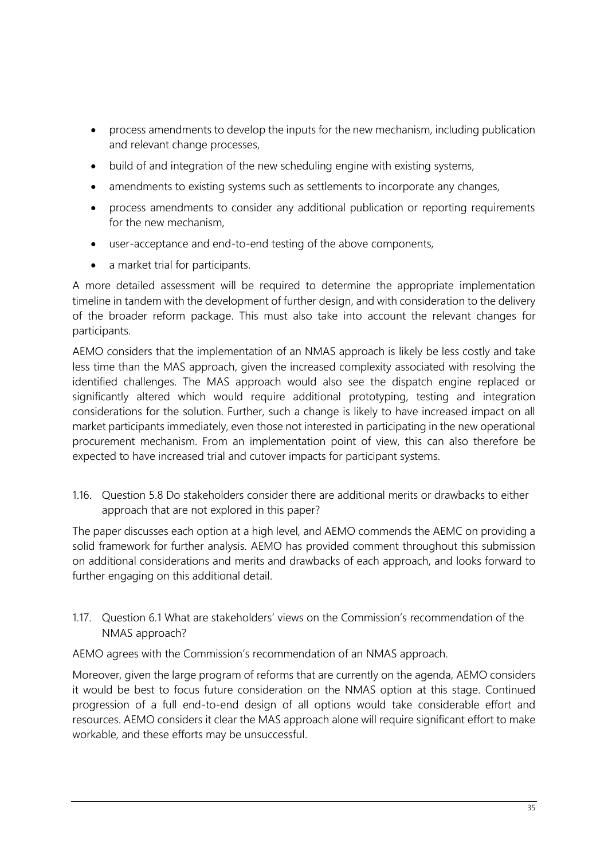- process amendments to develop the inputs for the new mechanism, including publication and relevant change processes,
- build of and integration of the new scheduling engine with existing systems,
- amendments to existing systems such as settlements to incorporate any changes,
- process amendments to consider any additional publication or reporting requirements for the new mechanism,
- user-acceptance and end-to-end testing of the above components,
- a market trial for participants.

A more detailed assessment will be required to determine the appropriate implementation timeline in tandem with the development of further design, and with consideration to the delivery of the broader reform package. This must also take into account the relevant changes for participants.

AEMO considers that the implementation of an NMAS approach is likely be less costly and take less time than the MAS approach, given the increased complexity associated with resolving the identified challenges. The MAS approach would also see the dispatch engine replaced or significantly altered which would require additional prototyping, testing and integration considerations for the solution. Further, such a change is likely to have increased impact on all market participants immediately, even those not interested in participating in the new operational procurement mechanism. From an implementation point of view, this can also therefore be expected to have increased trial and cutover impacts for participant systems.

1.16. Question 5.8 Do stakeholders consider there are additional merits or drawbacks to either approach that are not explored in this paper?

The paper discusses each option at a high level, and AEMO commends the AEMC on providing a solid framework for further analysis. AEMO has provided comment throughout this submission on additional considerations and merits and drawbacks of each approach, and looks forward to further engaging on this additional detail.

1.17. Question 6.1 What are stakeholders' views on the Commission's recommendation of the NMAS approach?

AEMO agrees with the Commission's recommendation of an NMAS approach.

Moreover, given the large program of reforms that are currently on the agenda, AEMO considers it would be best to focus future consideration on the NMAS option at this stage. Continued progression of a full end-to-end design of all options would take considerable effort and resources. AEMO considers it clear the MAS approach alone will require significant effort to make workable, and these efforts may be unsuccessful.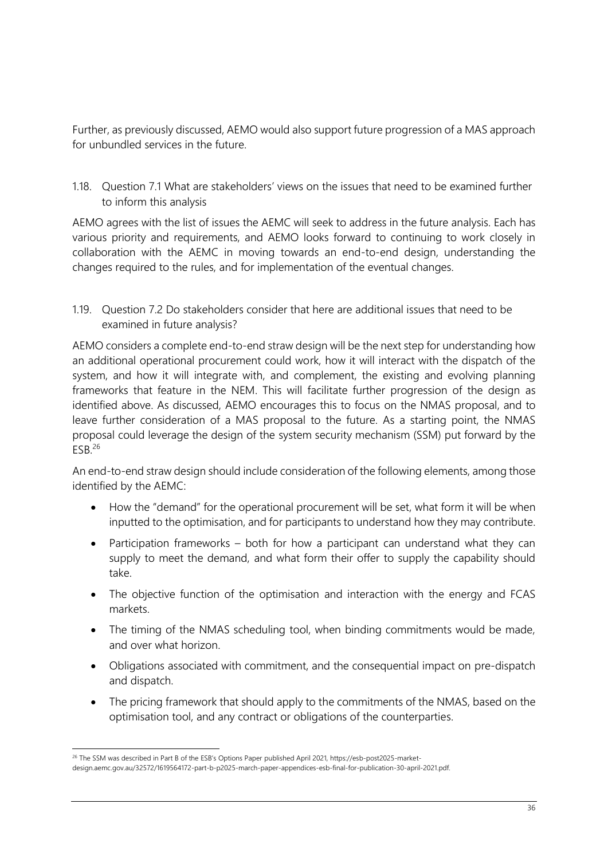Further, as previously discussed, AEMO would also support future progression of a MAS approach for unbundled services in the future.

1.18. Question 7.1 What are stakeholders' views on the issues that need to be examined further to inform this analysis

AEMO agrees with the list of issues the AEMC will seek to address in the future analysis. Each has various priority and requirements, and AEMO looks forward to continuing to work closely in collaboration with the AEMC in moving towards an end-to-end design, understanding the changes required to the rules, and for implementation of the eventual changes.

1.19. Question 7.2 Do stakeholders consider that here are additional issues that need to be examined in future analysis?

AEMO considers a complete end-to-end straw design will be the next step for understanding how an additional operational procurement could work, how it will interact with the dispatch of the system, and how it will integrate with, and complement, the existing and evolving planning frameworks that feature in the NEM. This will facilitate further progression of the design as identified above. As discussed, AEMO encourages this to focus on the NMAS proposal, and to leave further consideration of a MAS proposal to the future. As a starting point, the NMAS proposal could leverage the design of the system security mechanism (SSM) put forward by the  $ESB.<sup>26</sup>$ 

An end-to-end straw design should include consideration of the following elements, among those identified by the AEMC:

- How the "demand" for the operational procurement will be set, what form it will be when inputted to the optimisation, and for participants to understand how they may contribute.
- Participation frameworks both for how a participant can understand what they can supply to meet the demand, and what form their offer to supply the capability should take.
- The objective function of the optimisation and interaction with the energy and FCAS markets.
- The timing of the NMAS scheduling tool, when binding commitments would be made, and over what horizon.
- Obligations associated with commitment, and the consequential impact on pre-dispatch and dispatch.
- The pricing framework that should apply to the commitments of the NMAS, based on the optimisation tool, and any contract or obligations of the counterparties.

<sup>&</sup>lt;sup>26</sup> The SSM was described in Part B of the ESB's Options Paper published April 2021, https://esb-post2025-market-

design.aemc.gov.au/32572/1619564172-part-b-p2025-march-paper-appendices-esb-final-for-publication-30-april-2021.pdf.